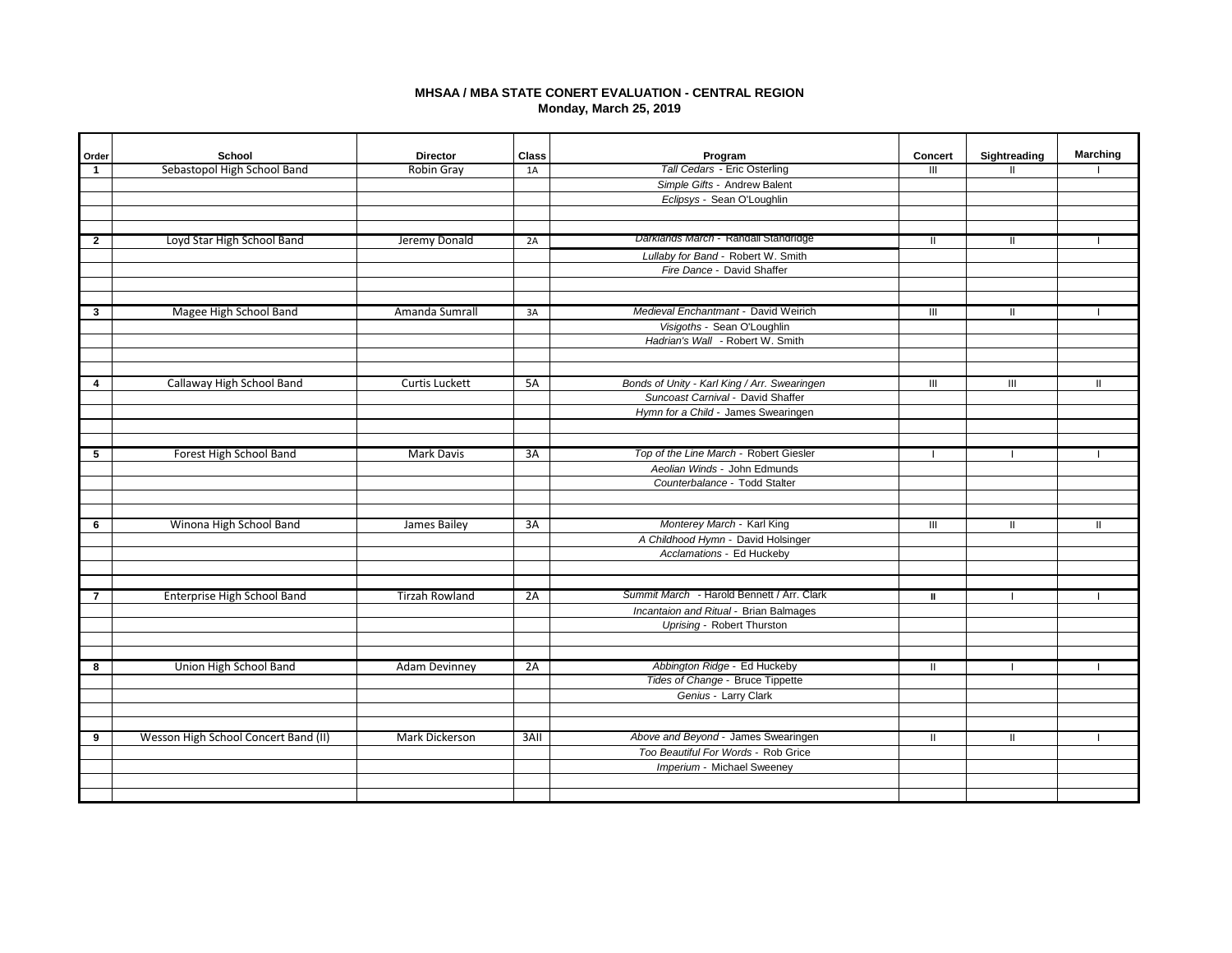# **MHSAA / MBA STATE CONERT EVALUATION - CENTRAL REGION Monday, March 25, 2019**

| Order                   | School                               | <b>Director</b>       | <b>Class</b> | Program                                                          | <b>Concert</b> | Sightreading  | <b>Marching</b> |
|-------------------------|--------------------------------------|-----------------------|--------------|------------------------------------------------------------------|----------------|---------------|-----------------|
| $\mathbf{1}$            | Sebastopol High School Band          | <b>Robin Gray</b>     | 1A           | Tall Cedars - Eric Osterling                                     | Ш              | $\mathbf{I}$  |                 |
|                         |                                      |                       |              | Simple Gifts - Andrew Balent                                     |                |               |                 |
|                         |                                      |                       |              | Eclipsys - Sean O'Loughlin                                       |                |               |                 |
|                         |                                      |                       |              |                                                                  |                |               |                 |
| $\mathbf{2}$            | Loyd Star High School Band           | Jeremy Donald         | 2A           | Darklands March - Randall Standridge                             | Ш              |               |                 |
|                         |                                      |                       |              | Lullaby for Band - Robert W. Smith                               |                |               |                 |
|                         |                                      |                       |              | Fire Dance - David Shaffer                                       |                |               |                 |
|                         |                                      |                       |              |                                                                  |                |               |                 |
| 3                       | Magee High School Band               | Amanda Sumrall        | 3A           | Medieval Enchantmant - David Weirich                             | Ш              |               |                 |
|                         |                                      |                       |              | Visigoths - Sean O'Loughlin                                      |                |               |                 |
|                         |                                      |                       |              | Hadrian's Wall - Robert W. Smith                                 |                |               |                 |
|                         |                                      |                       |              |                                                                  |                |               |                 |
|                         | Callaway High School Band            | Curtis Luckett        | 5A           | Bonds of Unity - Karl King / Arr. Swearingen                     | $\mathbf{m}$   | III           | H               |
| $\overline{\mathbf{4}}$ |                                      |                       |              | Suncoast Carnival - David Shaffer                                |                |               |                 |
|                         |                                      |                       |              | Hymn for a Child - James Swearingen                              |                |               |                 |
|                         |                                      |                       |              |                                                                  |                |               |                 |
|                         |                                      |                       |              | Top of the Line March - Robert Giesler                           |                |               |                 |
| 5                       | Forest High School Band              | Mark Davis            | 3A           | Aeolian Winds - John Edmunds                                     | - 1            | $\mathbf{I}$  |                 |
|                         |                                      |                       |              | Counterbalance - Todd Stalter                                    |                |               |                 |
|                         |                                      |                       |              |                                                                  |                |               |                 |
| 6                       | Winona High School Band              | James Bailey          | 3A           | Monterey March - Karl King                                       | III            | $\mathbf{II}$ | H               |
|                         |                                      |                       |              | A Childhood Hymn - David Holsinger                               |                |               |                 |
|                         |                                      |                       |              | Acclamations - Ed Huckeby                                        |                |               |                 |
|                         |                                      |                       |              |                                                                  |                |               |                 |
| $\overline{7}$          |                                      |                       |              | Summit March - Harold Bennett / Arr. Clark                       |                |               |                 |
|                         | Enterprise High School Band          | <b>Tirzah Rowland</b> | 2A           | Incantaion and Ritual - Brian Balmages                           | Ш              |               |                 |
|                         |                                      |                       |              | Uprising - Robert Thurston                                       |                |               |                 |
|                         |                                      |                       |              |                                                                  |                |               |                 |
|                         |                                      |                       |              |                                                                  |                |               |                 |
| 8                       | Union High School Band               | <b>Adam Devinney</b>  | 2A           | Abbington Ridge - Ed Huckeby<br>Tides of Change - Bruce Tippette | $\mathbf{H}$   |               |                 |
|                         |                                      |                       |              | Genius - Larry Clark                                             |                |               |                 |
|                         |                                      |                       |              |                                                                  |                |               |                 |
|                         |                                      |                       |              |                                                                  |                |               |                 |
| 9                       | Wesson High School Concert Band (II) | Mark Dickerson        | 3AII         | Above and Beyond - James Swearingen                              | H.             | $\mathbf{I}$  |                 |
|                         |                                      |                       |              | Too Beautiful For Words - Rob Grice                              |                |               |                 |
|                         |                                      |                       |              | Imperium - Michael Sweeney                                       |                |               |                 |
|                         |                                      |                       |              |                                                                  |                |               |                 |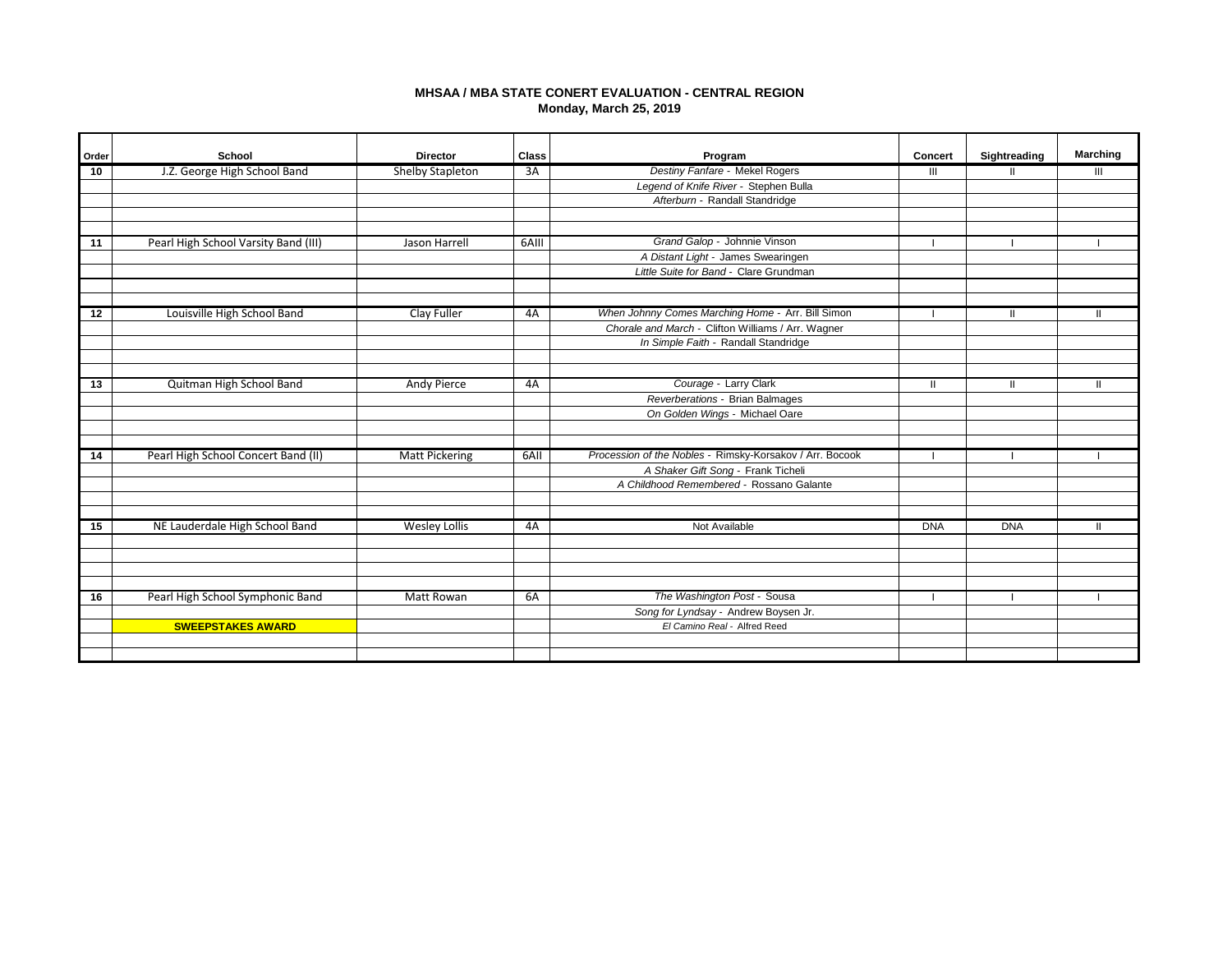# **MHSAA / MBA STATE CONERT EVALUATION - CENTRAL REGION Monday, March 25, 2019**

| Order | School                               | <b>Director</b>       | Class | Program                                                           | Concert    | Sightreading | <b>Marching</b> |
|-------|--------------------------------------|-----------------------|-------|-------------------------------------------------------------------|------------|--------------|-----------------|
| 10    | J.Z. George High School Band         | Shelby Stapleton      | 3A    | Destiny Fanfare - Mekel Rogers                                    | Ш          |              | Ш               |
|       |                                      |                       |       | Legend of Knife River - Stephen Bulla                             |            |              |                 |
|       |                                      |                       |       | Afterburn - Randall Standridge                                    |            |              |                 |
|       |                                      |                       |       |                                                                   |            |              |                 |
|       |                                      |                       |       |                                                                   |            |              |                 |
| 11    | Pearl High School Varsity Band (III) | Jason Harrell         | 6AIII | Grand Galop - Johnnie Vinson                                      |            |              |                 |
|       |                                      |                       |       | A Distant Light - James Swearingen                                |            |              |                 |
|       |                                      |                       |       | Little Suite for Band - Clare Grundman                            |            |              |                 |
|       |                                      |                       |       |                                                                   |            |              |                 |
|       |                                      |                       |       |                                                                   |            |              |                 |
| 12    | Louisville High School Band          | Clay Fuller           | 4A    | When Johnny Comes Marching Home - Arr. Bill Simon                 |            | Ш            |                 |
|       |                                      |                       |       | Chorale and March - Clifton Williams / Arr. Wagner                |            |              |                 |
|       |                                      |                       |       | In Simple Faith - Randall Standridge                              |            |              |                 |
|       |                                      |                       |       |                                                                   |            |              |                 |
|       |                                      |                       |       | Courage - Larry Clark                                             |            |              |                 |
| 13    | Quitman High School Band             | Andy Pierce           | 4A    |                                                                   | Ш          | Ш            |                 |
|       |                                      |                       |       | Reverberations - Brian Balmages<br>On Golden Wings - Michael Oare |            |              |                 |
|       |                                      |                       |       |                                                                   |            |              |                 |
|       |                                      |                       |       |                                                                   |            |              |                 |
| 14    | Pearl High School Concert Band (II)  | <b>Matt Pickering</b> | 6AII  | Procession of the Nobles - Rimsky-Korsakov / Arr. Bocook          |            |              |                 |
|       |                                      |                       |       | A Shaker Gift Song - Frank Ticheli                                |            |              |                 |
|       |                                      |                       |       | A Childhood Remembered - Rossano Galante                          |            |              |                 |
|       |                                      |                       |       |                                                                   |            |              |                 |
|       |                                      |                       |       |                                                                   |            |              |                 |
| 15    | NE Lauderdale High School Band       | <b>Wesley Lollis</b>  | 4A    | Not Available                                                     | <b>DNA</b> | <b>DNA</b>   |                 |
|       |                                      |                       |       |                                                                   |            |              |                 |
|       |                                      |                       |       |                                                                   |            |              |                 |
|       |                                      |                       |       |                                                                   |            |              |                 |
|       |                                      |                       |       |                                                                   |            |              |                 |
| 16    | Pearl High School Symphonic Band     | <b>Matt Rowan</b>     | 6A    | The Washington Post - Sousa                                       |            |              |                 |
|       |                                      |                       |       | Song for Lyndsay - Andrew Boysen Jr.                              |            |              |                 |
|       | <b>SWEEPSTAKES AWARD</b>             |                       |       | El Camino Real - Alfred Reed                                      |            |              |                 |
|       |                                      |                       |       |                                                                   |            |              |                 |
|       |                                      |                       |       |                                                                   |            |              |                 |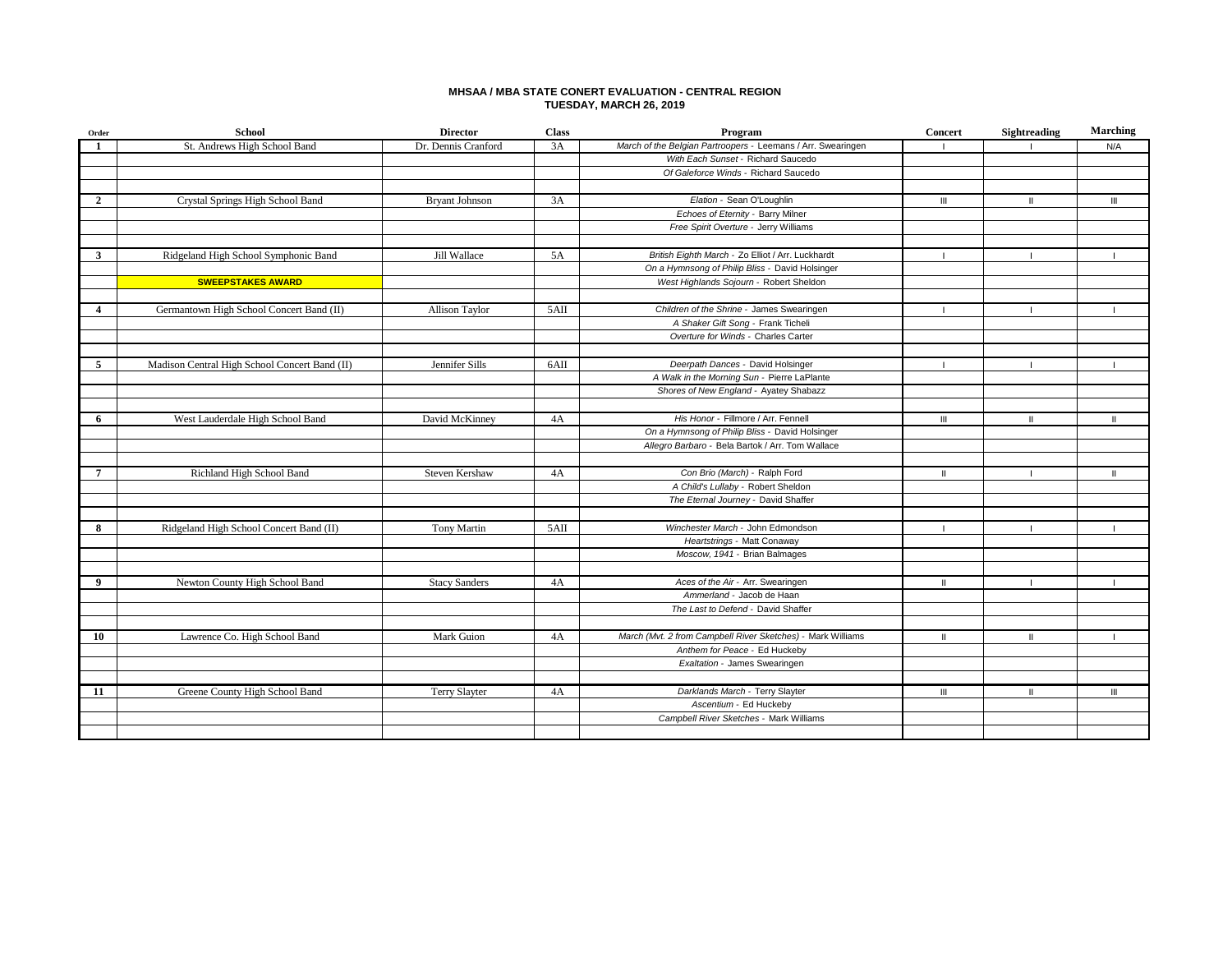### **MHSAA / MBA STATE CONERT EVALUATION - CENTRAL REGION TUESDAY, MARCH 26, 2019**

| Order                   | <b>School</b>                                 | <b>Director</b>       | <b>Class</b> | Program                                                      | <b>Concert</b> | Sightreading | <b>Marching</b> |
|-------------------------|-----------------------------------------------|-----------------------|--------------|--------------------------------------------------------------|----------------|--------------|-----------------|
| -1                      | St. Andrews High School Band                  | Dr. Dennis Cranford   | 3A           | March of the Belgian Partroopers - Leemans / Arr. Swearingen |                |              | N/A             |
|                         |                                               |                       |              | With Each Sunset - Richard Saucedo                           |                |              |                 |
|                         |                                               |                       |              | Of Galeforce Winds - Richard Saucedo                         |                |              |                 |
|                         |                                               |                       |              |                                                              |                |              |                 |
| $\overline{2}$          | Crystal Springs High School Band              | <b>Bryant Johnson</b> | 3A           | Elation - Sean O'Loughlin                                    | $\mathbf{III}$ | $\mathbf{I}$ | $\mathbf{m}$    |
|                         |                                               |                       |              | Echoes of Eternity - Barry Milner                            |                |              |                 |
|                         |                                               |                       |              | Free Spirit Overture - Jerry Williams                        |                |              |                 |
|                         |                                               |                       |              |                                                              |                |              |                 |
| 3                       | Ridgeland High School Symphonic Band          | Jill Wallace          | 5A           | British Eighth March - Zo Elliot / Arr. Luckhardt            |                |              |                 |
|                         |                                               |                       |              | On a Hymnsong of Philip Bliss - David Holsinger              |                |              |                 |
|                         | <b>SWEEPSTAKES AWARD</b>                      |                       |              | West Highlands Sojourn - Robert Sheldon                      |                |              |                 |
|                         |                                               |                       |              |                                                              |                |              |                 |
| $\overline{\mathbf{4}}$ | Germantown High School Concert Band (II)      | Allison Taylor        | 5AII         | Children of the Shrine - James Swearingen                    |                |              |                 |
|                         |                                               |                       |              | A Shaker Gift Song - Frank Ticheli                           |                |              |                 |
|                         |                                               |                       |              | Overture for Winds - Charles Carter                          |                |              |                 |
|                         |                                               |                       |              |                                                              |                |              |                 |
| 5                       | Madison Central High School Concert Band (II) | Jennifer Sills        | 6AII         | Deerpath Dances - David Holsinger                            | -1             | -1           | - 1             |
|                         |                                               |                       |              | A Walk in the Morning Sun - Pierre LaPlante                  |                |              |                 |
|                         |                                               |                       |              | Shores of New England - Ayatey Shabazz                       |                |              |                 |
|                         |                                               |                       |              |                                                              |                |              |                 |
| 6                       | West Lauderdale High School Band              | David McKinney        | 4A           | His Honor - Fillmore / Arr. Fennell                          | $\mathbf{III}$ | $\mathbf{I}$ | $\mathbf{I}$    |
|                         |                                               |                       |              | On a Hymnsong of Philip Bliss - David Holsinger              |                |              |                 |
|                         |                                               |                       |              | Allegro Barbaro - Bela Bartok / Arr. Tom Wallace             |                |              |                 |
|                         |                                               |                       |              |                                                              |                |              |                 |
| 7                       | Richland High School Band                     | Steven Kershaw        | 4A           | Con Brio (March) - Ralph Ford                                | $\mathbf{H}$   |              | $\mathbf{I}$    |
|                         |                                               |                       |              | A Child's Lullaby - Robert Sheldon                           |                |              |                 |
|                         |                                               |                       |              | The Eternal Journey - David Shaffer                          |                |              |                 |
|                         |                                               |                       |              |                                                              |                |              |                 |
| 8                       | Ridgeland High School Concert Band (II)       | <b>Tony Martin</b>    | 5AII         | Winchester March - John Edmondson                            |                |              |                 |
|                         |                                               |                       |              | Heartstrings - Matt Conaway                                  |                |              |                 |
|                         |                                               |                       |              | Moscow, 1941 - Brian Balmages                                |                |              |                 |
|                         |                                               |                       |              |                                                              |                |              |                 |
| 9                       | Newton County High School Band                | <b>Stacy Sanders</b>  | 4A           | Aces of the Air - Arr. Swearingen                            | Ш              | -1           | -1              |
|                         |                                               |                       |              | Ammerland - Jacob de Haan                                    |                |              |                 |
|                         |                                               |                       |              | The Last to Defend - David Shaffer                           |                |              |                 |
|                         |                                               |                       |              |                                                              |                |              |                 |
| 10                      | Lawrence Co. High School Band                 | Mark Guion            | 4A           | March (Mvt. 2 from Campbell River Sketches) - Mark Williams  | $\mathbf{I}$   | $\mathbf{I}$ | - 1             |
|                         |                                               |                       |              | Anthem for Peace - Ed Huckeby                                |                |              |                 |
|                         |                                               |                       |              | Exaltation - James Swearingen                                |                |              |                 |
|                         |                                               |                       |              |                                                              |                |              |                 |
| 11                      | Greene County High School Band                | <b>Terry Slayter</b>  | 4A           | Darklands March - Terry Slayter                              | Ш              | Ш            | Ш               |
|                         |                                               |                       |              | Ascentium - Ed Huckeby                                       |                |              |                 |
|                         |                                               |                       |              | Campbell River Sketches - Mark Williams                      |                |              |                 |
|                         |                                               |                       |              |                                                              |                |              |                 |
|                         |                                               |                       |              |                                                              |                |              |                 |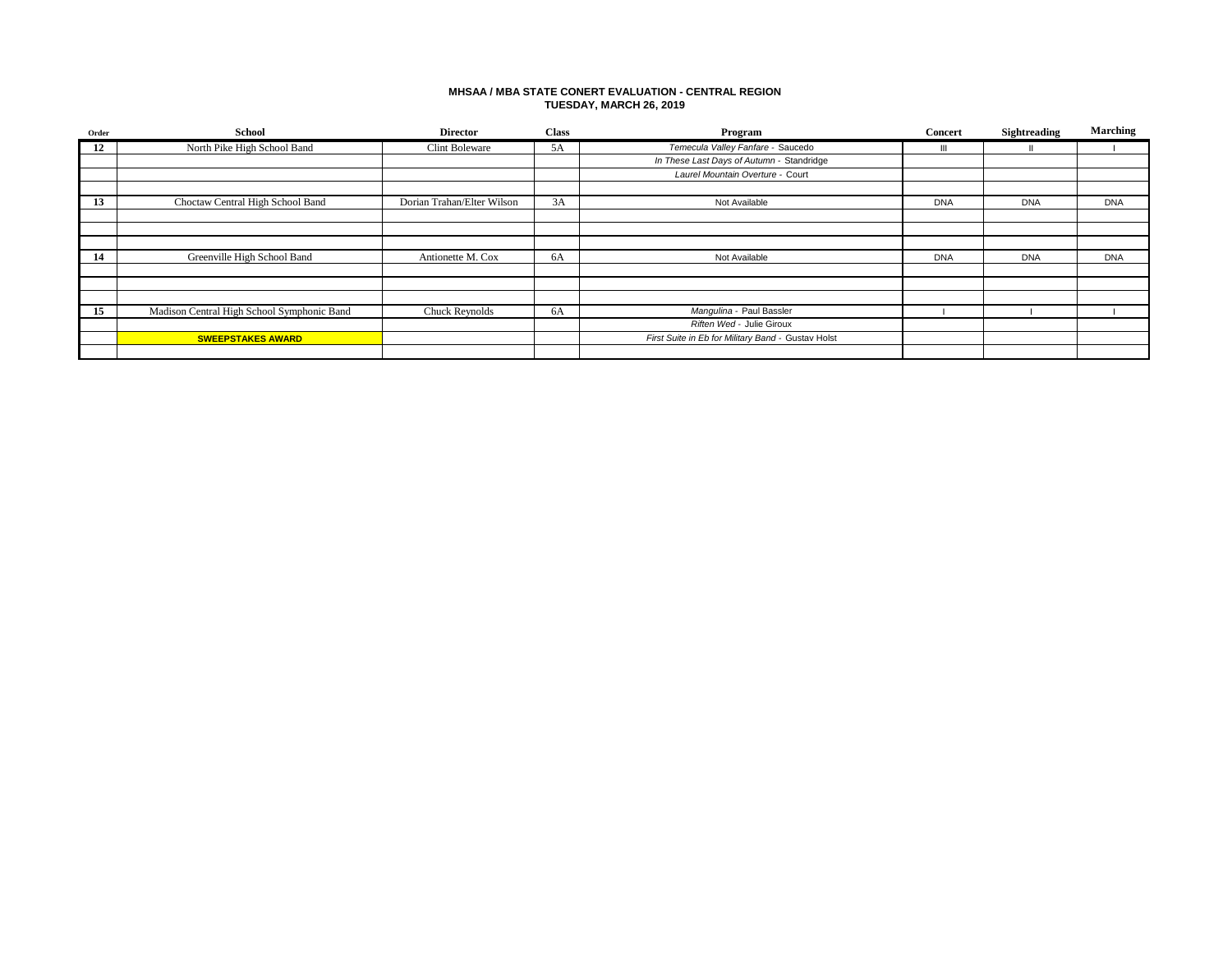### **MHSAA / MBA STATE CONERT EVALUATION - CENTRAL REGION TUESDAY, MARCH 26, 2019**

| Order | <b>School</b>                              | <b>Director</b>            | <b>Class</b> | Program                                            | Concert    | Sightreading | <b>Marching</b> |
|-------|--------------------------------------------|----------------------------|--------------|----------------------------------------------------|------------|--------------|-----------------|
| 12    | North Pike High School Band                | <b>Clint Boleware</b>      | 5A           | Temecula Valley Fanfare - Saucedo                  | Ш          |              |                 |
|       |                                            |                            |              | In These Last Days of Autumn - Standridge          |            |              |                 |
|       |                                            |                            |              | Laurel Mountain Overture - Court                   |            |              |                 |
|       |                                            |                            |              |                                                    |            |              |                 |
| 13    | Choctaw Central High School Band           | Dorian Trahan/Elter Wilson | 3A           | Not Available                                      | <b>DNA</b> | <b>DNA</b>   | <b>DNA</b>      |
|       |                                            |                            |              |                                                    |            |              |                 |
|       |                                            |                            |              |                                                    |            |              |                 |
|       |                                            |                            |              |                                                    |            |              |                 |
| 14    | Greenville High School Band                | Antionette M. Cox          | 6A           | Not Available                                      | <b>DNA</b> | <b>DNA</b>   | <b>DNA</b>      |
|       |                                            |                            |              |                                                    |            |              |                 |
|       |                                            |                            |              |                                                    |            |              |                 |
|       |                                            |                            |              |                                                    |            |              |                 |
| 15    | Madison Central High School Symphonic Band | Chuck Reynolds             | 6A           | Mangulina - Paul Bassler                           |            |              |                 |
|       |                                            |                            |              | Riften Wed - Julie Giroux                          |            |              |                 |
|       | <b>SWEEPSTAKES AWARD</b>                   |                            |              | First Suite in Eb for Military Band - Gustav Holst |            |              |                 |
|       |                                            |                            |              |                                                    |            |              |                 |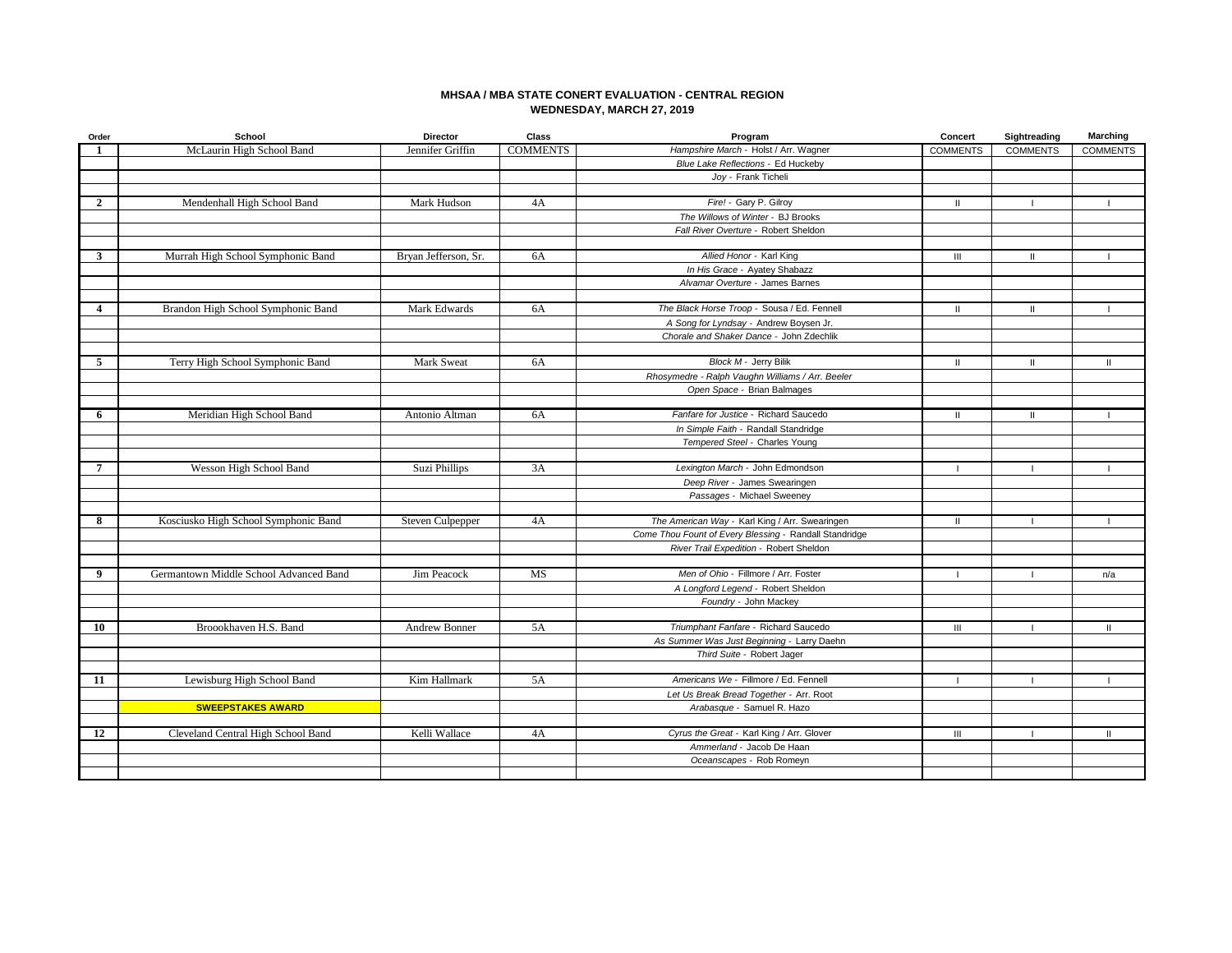## **MHSAA / MBA STATE CONERT EVALUATION - CENTRAL REGION WEDNESDAY, MARCH 27, 2019**

| Order          | School                                 | <b>Director</b>      | Class           | Program                                                               | Concert         | Sightreading    | Marching        |
|----------------|----------------------------------------|----------------------|-----------------|-----------------------------------------------------------------------|-----------------|-----------------|-----------------|
| $\mathbf{1}$   | McLaurin High School Band              | Jennifer Griffin     | <b>COMMENTS</b> | Hampshire March - Holst / Arr. Wagner                                 | <b>COMMENTS</b> | <b>COMMENTS</b> | <b>COMMENTS</b> |
|                |                                        |                      |                 | Blue Lake Reflections - Ed Huckeby                                    |                 |                 |                 |
|                |                                        |                      |                 | Joy - Frank Ticheli                                                   |                 |                 |                 |
|                |                                        |                      |                 |                                                                       |                 |                 |                 |
| $\overline{2}$ | Mendenhall High School Band            | Mark Hudson          | 4A              | Fire! - Gary P. Gilroy                                                | $\mathbf{H}$    | - 1             | $\mathbf{I}$    |
|                |                                        |                      |                 | The Willows of Winter - BJ Brooks                                     |                 |                 |                 |
|                |                                        |                      |                 | Fall River Overture - Robert Sheldon                                  |                 |                 |                 |
|                |                                        |                      |                 |                                                                       |                 |                 |                 |
| $\mathbf{3}$   | Murrah High School Symphonic Band      | Bryan Jefferson, Sr. | 6A              | Allied Honor - Karl King                                              | $\mathbf{III}$  | $\mathbf{H}$    | $\mathbf{I}$    |
|                |                                        |                      |                 | In His Grace - Ayatey Shabazz                                         |                 |                 |                 |
|                |                                        |                      |                 | Alvamar Overture - James Barnes                                       |                 |                 |                 |
| $\overline{4}$ | Brandon High School Symphonic Band     | Mark Edwards         | 6A              | The Black Horse Troop - Sousa / Ed. Fennell                           | $\mathbf{II}$   | $\mathbf{H}$    |                 |
|                |                                        |                      |                 | A Song for Lyndsay - Andrew Boysen Jr.                                |                 |                 |                 |
|                |                                        |                      |                 | Chorale and Shaker Dance - John Zdechlik                              |                 |                 |                 |
|                |                                        |                      |                 |                                                                       |                 |                 |                 |
| 5              | Terry High School Symphonic Band       | Mark Sweat           | 6A              | Block M - Jerry Bilik                                                 | $\mathbf{II}$   | $\mathbf{H}$    | $\mathbf{H}$    |
|                |                                        |                      |                 | Rhosymedre - Ralph Vaughn Williams / Arr. Beeler                      |                 |                 |                 |
|                |                                        |                      |                 | Open Space - Brian Balmages                                           |                 |                 |                 |
|                |                                        |                      |                 |                                                                       |                 |                 |                 |
| 6              | Meridian High School Band              | Antonio Altman       | 6A              | Fanfare for Justice - Richard Saucedo                                 | $\mathbf{H}$    | ш               |                 |
|                |                                        |                      |                 | In Simple Faith - Randall Standridge                                  |                 |                 |                 |
|                |                                        |                      |                 | Tempered Steel - Charles Young                                        |                 |                 |                 |
|                |                                        |                      |                 |                                                                       |                 |                 |                 |
| 7              | Wesson High School Band                | Suzi Phillips        | 3A              | Lexington March - John Edmondson                                      |                 |                 |                 |
|                |                                        |                      |                 | Deep River - James Swearingen                                         |                 |                 |                 |
|                |                                        |                      |                 | Passages - Michael Sweeney                                            |                 |                 |                 |
| 8              | Kosciusko High School Symphonic Band   | Steven Culpepper     | 4A              | The American Way - Karl King / Arr. Swearingen                        | $\mathbf{II}$   |                 |                 |
|                |                                        |                      |                 | Come Thou Fount of Every Blessing - Randall Standridge                |                 |                 |                 |
|                |                                        |                      |                 | River Trail Expedition - Robert Sheldon                               |                 |                 |                 |
|                |                                        |                      |                 |                                                                       |                 |                 |                 |
| 9              | Germantown Middle School Advanced Band | Jim Peacock          | MS              | Men of Ohio - Fillmore / Arr. Foster                                  | $\blacksquare$  |                 | n/a             |
|                |                                        |                      |                 | A Longford Legend - Robert Sheldon                                    |                 |                 |                 |
|                |                                        |                      |                 | Foundry - John Mackey                                                 |                 |                 |                 |
|                |                                        |                      |                 |                                                                       |                 |                 |                 |
| 10             | Broookhaven H.S. Band                  | Andrew Bonner        | 5A              | Triumphant Fanfare - Richard Saucedo                                  | Ш               |                 | $\mathbf{H}$    |
|                |                                        |                      |                 | As Summer Was Just Beginning - Larry Daehn                            |                 |                 |                 |
|                |                                        |                      |                 | Third Suite - Robert Jager                                            |                 |                 |                 |
| 11             | Lewisburg High School Band             | Kim Hallmark         |                 | Americans We - Fillmore / Ed. Fennell                                 |                 |                 |                 |
|                |                                        |                      | 5A              |                                                                       |                 |                 |                 |
|                | <b>SWEEPSTAKES AWARD</b>               |                      |                 | Let Us Break Bread Together - Arr. Root<br>Arabasque - Samuel R. Hazo |                 |                 |                 |
|                |                                        |                      |                 |                                                                       |                 |                 |                 |
| 12             | Cleveland Central High School Band     | Kelli Wallace        | 4A              | Cyrus the Great - Karl King / Arr. Glover                             | $\mathbf{III}$  |                 | $\mathbf{H}$    |
|                |                                        |                      |                 | Ammerland - Jacob De Haan                                             |                 |                 |                 |
|                |                                        |                      |                 | Oceanscapes - Rob Romeyn                                              |                 |                 |                 |
|                |                                        |                      |                 |                                                                       |                 |                 |                 |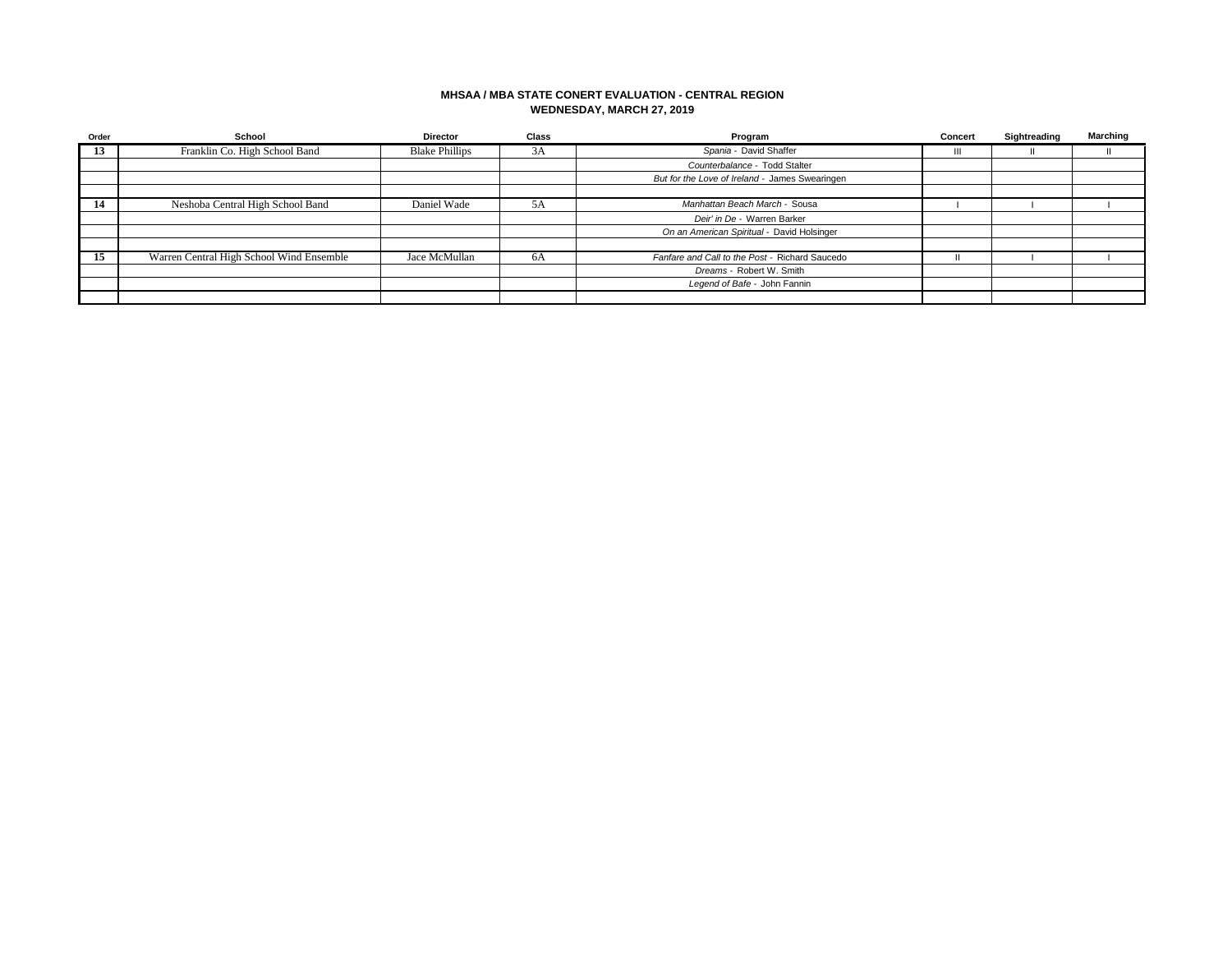## **MHSAA / MBA STATE CONERT EVALUATION - CENTRAL REGION WEDNESDAY, MARCH 27, 2019**

| Order | School                                   | <b>Director</b>       | Class | Program                                        | Concert | Sightreading | Marching |
|-------|------------------------------------------|-----------------------|-------|------------------------------------------------|---------|--------------|----------|
| 13    | Franklin Co. High School Band            | <b>Blake Phillips</b> | 3A    | Spania - David Shaffer                         | Ш       |              |          |
|       |                                          |                       |       | Counterbalance - Todd Stalter                  |         |              |          |
|       |                                          |                       |       | But for the Love of Ireland - James Swearingen |         |              |          |
|       |                                          |                       |       |                                                |         |              |          |
| -14   | Neshoba Central High School Band         | Daniel Wade           | 5A    | Manhattan Beach March - Sousa                  |         |              |          |
|       |                                          |                       |       | Deir' in De - Warren Barker                    |         |              |          |
|       |                                          |                       |       | On an American Spiritual - David Holsinger     |         |              |          |
|       |                                          |                       |       |                                                |         |              |          |
| 15    | Warren Central High School Wind Ensemble | Jace McMullan         | 6A    | Fanfare and Call to the Post - Richard Saucedo |         |              |          |
|       |                                          |                       |       | Dreams - Robert W. Smith                       |         |              |          |
|       |                                          |                       |       | Legend of Bafe - John Fannin                   |         |              |          |
|       |                                          |                       |       |                                                |         |              |          |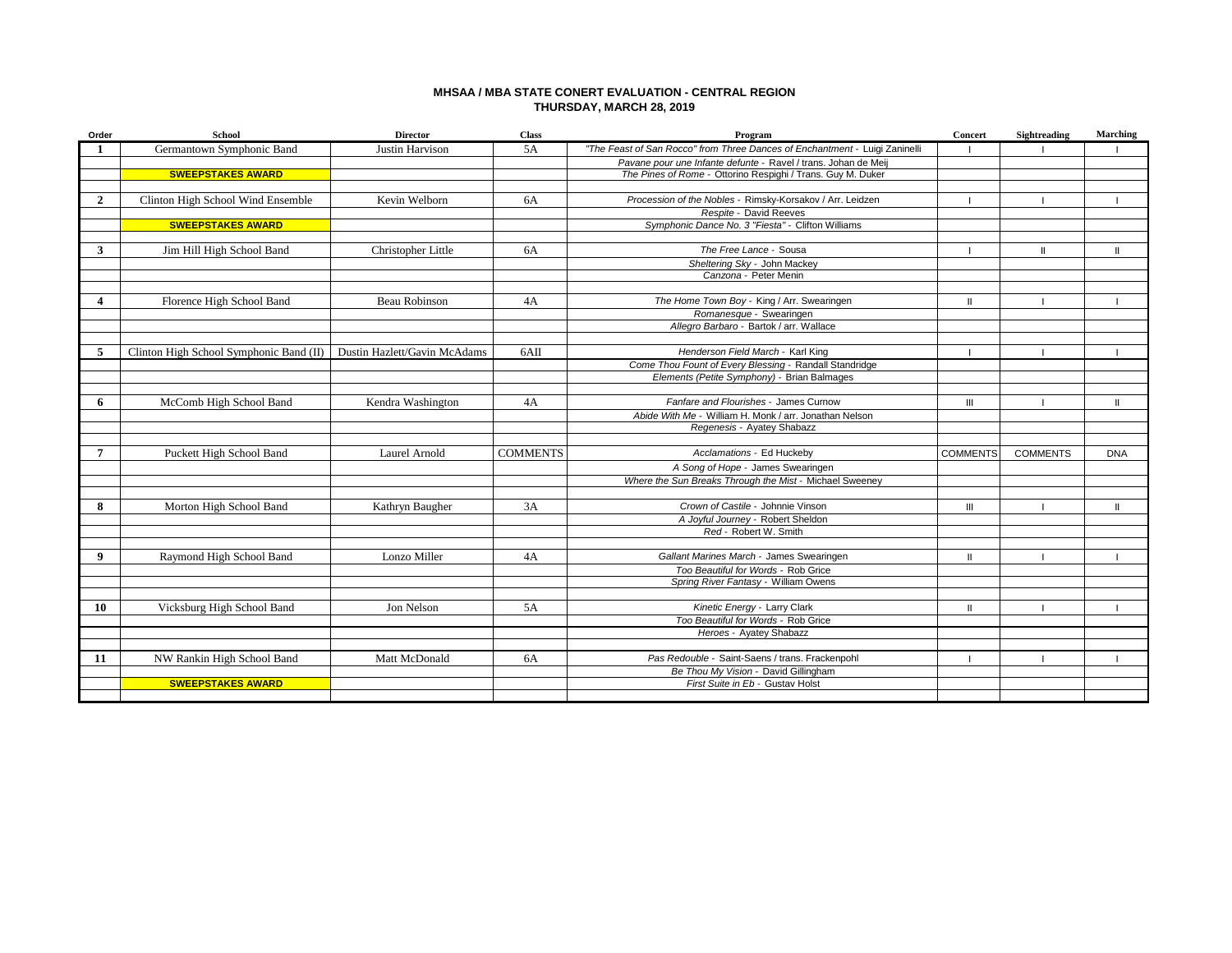### **MHSAA / MBA STATE CONERT EVALUATION - CENTRAL REGION THURSDAY, MARCH 28, 2019**

| Order            | <b>School</b>                           | <b>Director</b>              | <b>Class</b>    | Program                                                                     | Concert         | <b>Sightreading</b> | <b>Marching</b> |
|------------------|-----------------------------------------|------------------------------|-----------------|-----------------------------------------------------------------------------|-----------------|---------------------|-----------------|
|                  | Germantown Symphonic Band               | <b>Justin Harvison</b>       | 5A              | "The Feast of San Rocco" from Three Dances of Enchantment - Luigi Zaninelli |                 |                     |                 |
|                  |                                         |                              |                 | Pavane pour une Infante defunte - Ravel / trans. Johan de Meij              |                 |                     |                 |
|                  | <b>SWEEPSTAKES AWARD</b>                |                              |                 | The Pines of Rome - Ottorino Respighi / Trans. Guy M. Duker                 |                 |                     |                 |
|                  |                                         |                              |                 |                                                                             |                 |                     |                 |
| $\overline{2}$   | Clinton High School Wind Ensemble       | Kevin Welborn                | <b>6A</b>       | Procession of the Nobles - Rimsky-Korsakov / Arr. Leidzen                   |                 |                     |                 |
|                  |                                         |                              |                 | Respite - David Reeves                                                      |                 |                     |                 |
|                  | <b>SWEEPSTAKES AWARD</b>                |                              |                 | Symphonic Dance No. 3 "Fiesta" - Clifton Williams                           |                 |                     |                 |
|                  |                                         |                              |                 |                                                                             |                 |                     |                 |
| $\mathbf{3}$     | Jim Hill High School Band               | Christopher Little           | <b>6A</b>       | The Free Lance - Sousa                                                      |                 | $\mathbf{I}$        | $\mathbf{II}$   |
|                  |                                         |                              |                 | Sheltering Sky - John Mackey                                                |                 |                     |                 |
|                  |                                         |                              |                 | Canzona - Peter Menin                                                       |                 |                     |                 |
|                  |                                         |                              |                 |                                                                             |                 |                     |                 |
| $\boldsymbol{4}$ | Florence High School Band               | Beau Robinson                | 4A              | The Home Town Boy - King / Arr. Swearingen                                  | Ш               |                     |                 |
|                  |                                         |                              |                 | Romanesque - Swearingen                                                     |                 |                     |                 |
|                  |                                         |                              |                 | Allegro Barbaro - Bartok / arr. Wallace                                     |                 |                     |                 |
|                  |                                         |                              |                 |                                                                             |                 |                     |                 |
| 5                | Clinton High School Symphonic Band (II) | Dustin Hazlett/Gavin McAdams | 6AII            | Henderson Field March - Karl King                                           |                 |                     |                 |
|                  |                                         |                              |                 | Come Thou Fount of Every Blessing - Randall Standridge                      |                 |                     |                 |
|                  |                                         |                              |                 | Elements (Petite Symphony) - Brian Balmages                                 |                 |                     |                 |
|                  |                                         |                              |                 |                                                                             |                 |                     |                 |
| 6                | McComb High School Band                 | Kendra Washington            | 4A              | Fanfare and Flourishes - James Curnow                                       | $\mathbf{III}$  |                     | Ш               |
|                  |                                         |                              |                 | Abide With Me - William H. Monk / arr. Jonathan Nelson                      |                 |                     |                 |
|                  |                                         |                              |                 | Regenesis - Ayatey Shabazz                                                  |                 |                     |                 |
|                  |                                         |                              |                 |                                                                             |                 |                     |                 |
| $\overline{7}$   | Puckett High School Band                | Laurel Arnold                | <b>COMMENTS</b> | Acclamations - Ed Huckeby                                                   | <b>COMMENTS</b> | <b>COMMENTS</b>     | <b>DNA</b>      |
|                  |                                         |                              |                 | A Song of Hope - James Swearingen                                           |                 |                     |                 |
|                  |                                         |                              |                 | Where the Sun Breaks Through the Mist - Michael Sweeney                     |                 |                     |                 |
|                  |                                         |                              |                 |                                                                             |                 |                     |                 |
| 8                | Morton High School Band                 | Kathryn Baugher              | 3A              | Crown of Castile - Johnnie Vinson                                           | $\mathbf{III}$  |                     | $\mathbf{II}$   |
|                  |                                         |                              |                 | A Joyful Journey - Robert Sheldon                                           |                 |                     |                 |
|                  |                                         |                              |                 | Red - Robert W. Smith                                                       |                 |                     |                 |
|                  |                                         |                              |                 |                                                                             |                 |                     |                 |
| 9                | Raymond High School Band                | Lonzo Miller                 | 4A              | Gallant Marines March - James Swearingen                                    | $\mathbf{II}$   |                     |                 |
|                  |                                         |                              |                 | Too Beautiful for Words - Rob Grice                                         |                 |                     |                 |
|                  |                                         |                              |                 | Spring River Fantasy - William Owens                                        |                 |                     |                 |
|                  |                                         |                              |                 |                                                                             |                 |                     |                 |
| 10               | Vicksburg High School Band              | Jon Nelson                   | 5A              | Kinetic Energy - Larry Clark                                                | $\mathbf{I}$    |                     |                 |
|                  |                                         |                              |                 | Too Beautiful for Words - Rob Grice                                         |                 |                     |                 |
|                  |                                         |                              |                 | Heroes - Ayatey Shabazz                                                     |                 |                     |                 |
|                  |                                         |                              |                 |                                                                             |                 |                     |                 |
| 11               | NW Rankin High School Band              | Matt McDonald                | <b>6A</b>       | Pas Redouble - Saint-Saens / trans. Frackenpohl                             |                 |                     |                 |
|                  |                                         |                              |                 | Be Thou My Vision - David Gillingham                                        |                 |                     |                 |
|                  | <b>SWEEPSTAKES AWARD</b>                |                              |                 | First Suite in Eb - Gustav Holst                                            |                 |                     |                 |
|                  |                                         |                              |                 |                                                                             |                 |                     |                 |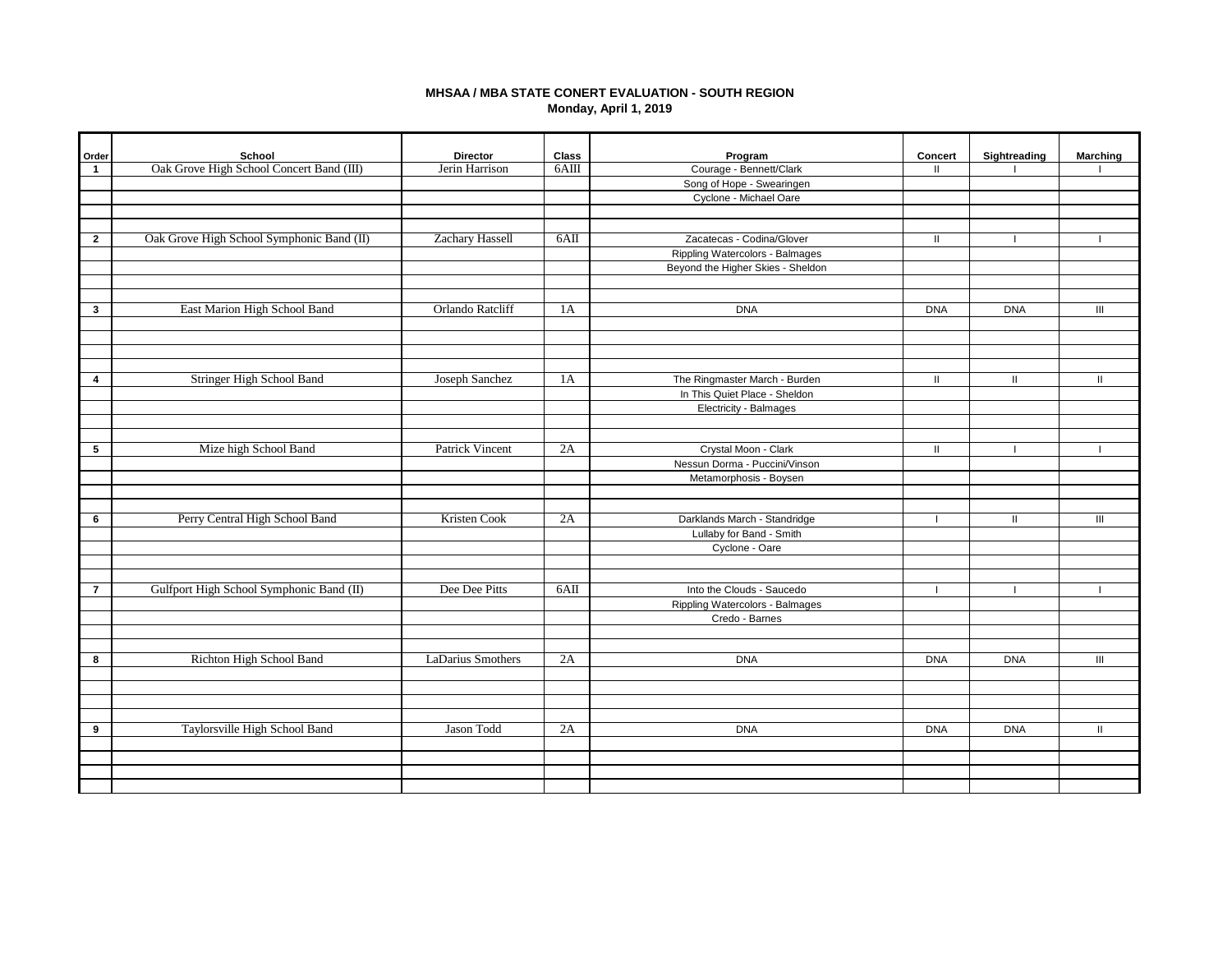# **MHSAA / MBA STATE CONERT EVALUATION - SOUTH REGION Monday, April 1, 2019**

| Order<br>$\mathbf{1}$ | School<br>Oak Grove High School Concert Band (III) | <b>Director</b><br>Jerin Harrison | Class<br>$6$ AIII | Program<br>Courage - Bennett/Clark | <b>Concert</b><br>$\mathbf{H}$ | Sightreading | <b>Marching</b> |
|-----------------------|----------------------------------------------------|-----------------------------------|-------------------|------------------------------------|--------------------------------|--------------|-----------------|
|                       |                                                    |                                   |                   | Song of Hope - Swearingen          |                                |              |                 |
|                       |                                                    |                                   |                   | Cyclone - Michael Oare             |                                |              |                 |
|                       |                                                    |                                   |                   |                                    |                                |              |                 |
|                       |                                                    |                                   |                   |                                    |                                |              |                 |
| $\overline{2}$        | Oak Grove High School Symphonic Band (II)          | <b>Zachary Hassell</b>            | 6AII              | Zacatecas - Codina/Glover          | Ш                              |              |                 |
|                       |                                                    |                                   |                   | Rippling Watercolors - Balmages    |                                |              |                 |
|                       |                                                    |                                   |                   | Beyond the Higher Skies - Sheldon  |                                |              |                 |
|                       |                                                    |                                   |                   |                                    |                                |              |                 |
|                       |                                                    |                                   |                   |                                    |                                |              |                 |
| $\mathbf{3}$          | East Marion High School Band                       | Orlando Ratcliff                  | 1A                | <b>DNA</b>                         | <b>DNA</b>                     | <b>DNA</b>   | Ш               |
|                       |                                                    |                                   |                   |                                    |                                |              |                 |
|                       |                                                    |                                   |                   |                                    |                                |              |                 |
|                       |                                                    |                                   |                   |                                    |                                |              |                 |
|                       |                                                    |                                   |                   |                                    |                                |              |                 |
| $\overline{4}$        | Stringer High School Band                          | Joseph Sanchez                    | 1A                | The Ringmaster March - Burden      | $\mathbf{H}$                   | $\parallel$  | $\mathbf{u}$    |
|                       |                                                    |                                   |                   | In This Quiet Place - Sheldon      |                                |              |                 |
|                       |                                                    |                                   |                   | Electricity - Balmages             |                                |              |                 |
|                       |                                                    |                                   |                   |                                    |                                |              |                 |
|                       |                                                    |                                   |                   |                                    |                                |              |                 |
| 5                     | Mize high School Band                              | <b>Patrick Vincent</b>            | 2A                | Crystal Moon - Clark               | $\mathbf{H}$                   |              |                 |
|                       |                                                    |                                   |                   | Nessun Dorma - Puccini/Vinson      |                                |              |                 |
|                       |                                                    |                                   |                   | Metamorphosis - Boysen             |                                |              |                 |
|                       |                                                    |                                   |                   |                                    |                                |              |                 |
| 6                     | Perry Central High School Band                     | Kristen Cook                      | 2A                | Darklands March - Standridge       |                                |              | Ш               |
|                       |                                                    |                                   |                   | Lullaby for Band - Smith           |                                |              |                 |
|                       |                                                    |                                   |                   | Cyclone - Oare                     |                                |              |                 |
|                       |                                                    |                                   |                   |                                    |                                |              |                 |
|                       |                                                    |                                   |                   |                                    |                                |              |                 |
| $\overline{7}$        | Gulfport High School Symphonic Band (II)           | Dee Dee Pitts                     | 6AII              | Into the Clouds - Saucedo          |                                |              |                 |
|                       |                                                    |                                   |                   | Rippling Watercolors - Balmages    |                                |              |                 |
|                       |                                                    |                                   |                   | Credo - Barnes                     |                                |              |                 |
|                       |                                                    |                                   |                   |                                    |                                |              |                 |
|                       |                                                    |                                   |                   |                                    |                                |              |                 |
| 8                     | Richton High School Band                           | LaDarius Smothers                 | 2A                | <b>DNA</b>                         | <b>DNA</b>                     | <b>DNA</b>   | Ш               |
|                       |                                                    |                                   |                   |                                    |                                |              |                 |
|                       |                                                    |                                   |                   |                                    |                                |              |                 |
|                       |                                                    |                                   |                   |                                    |                                |              |                 |
|                       |                                                    |                                   |                   |                                    |                                |              |                 |
| 9                     | Taylorsville High School Band                      | Jason Todd                        | 2A                | <b>DNA</b>                         | <b>DNA</b>                     | <b>DNA</b>   | $\mathbf{H}$    |
|                       |                                                    |                                   |                   |                                    |                                |              |                 |
|                       |                                                    |                                   |                   |                                    |                                |              |                 |
|                       |                                                    |                                   |                   |                                    |                                |              |                 |
|                       |                                                    |                                   |                   |                                    |                                |              |                 |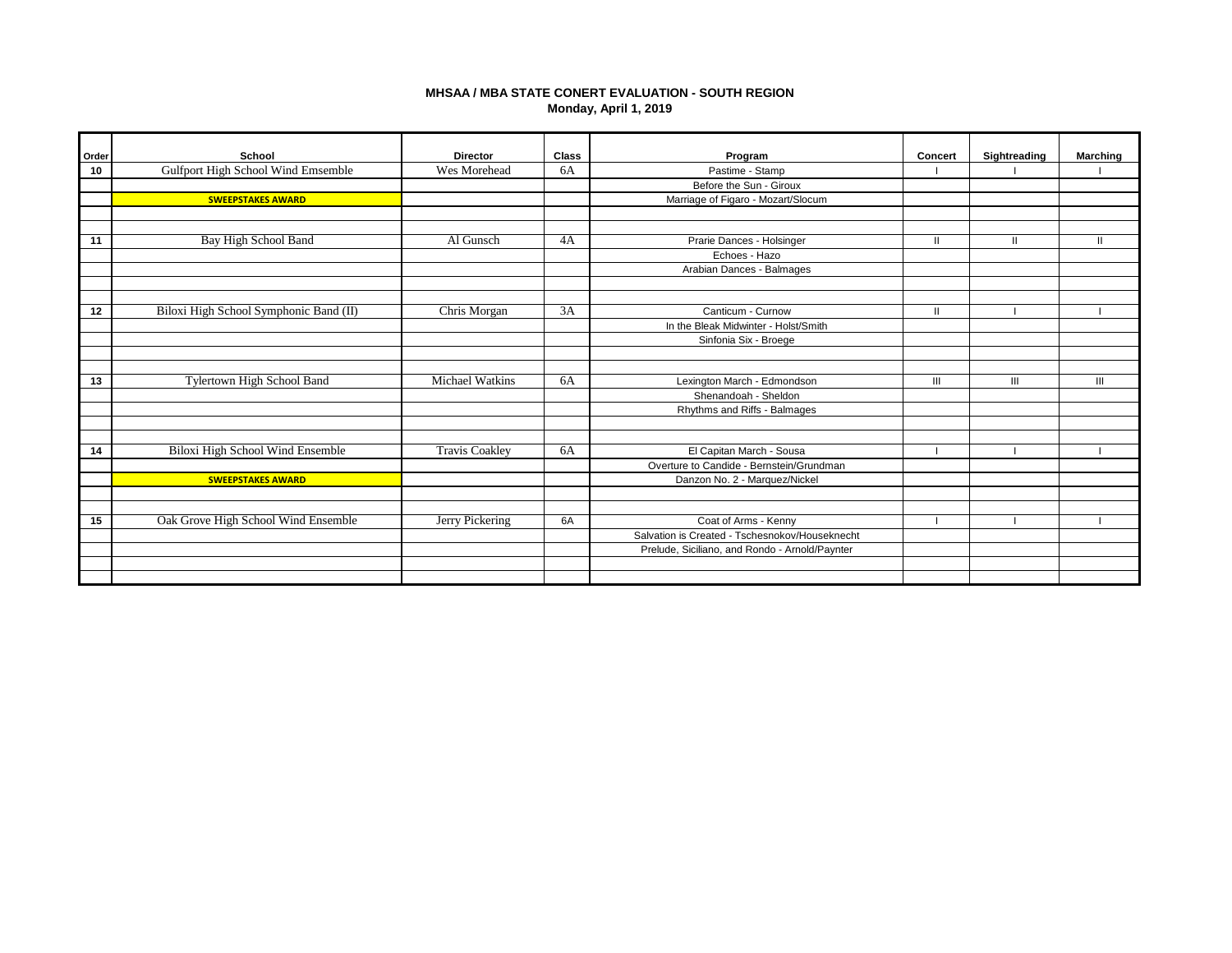# **MHSAA / MBA STATE CONERT EVALUATION - SOUTH REGION Monday, April 1, 2019**

| Order | School                                 | <b>Director</b>        | Class | Program                                        | Concert      | Sightreading | <b>Marching</b> |
|-------|----------------------------------------|------------------------|-------|------------------------------------------------|--------------|--------------|-----------------|
| 10    | Gulfport High School Wind Emsemble     | Wes Morehead           | 6A    | Pastime - Stamp                                |              |              |                 |
|       |                                        |                        |       | Before the Sun - Giroux                        |              |              |                 |
|       | <b>SWEEPSTAKES AWARD</b>               |                        |       | Marriage of Figaro - Mozart/Slocum             |              |              |                 |
|       |                                        |                        |       |                                                |              |              |                 |
|       |                                        |                        |       |                                                |              |              |                 |
| 11    | Bay High School Band                   | $\overline{Al}$ Gunsch | 4A    | Prarie Dances - Holsinger                      | $\mathbf{I}$ |              |                 |
|       |                                        |                        |       | Echoes - Hazo                                  |              |              |                 |
|       |                                        |                        |       | Arabian Dances - Balmages                      |              |              |                 |
|       |                                        |                        |       |                                                |              |              |                 |
|       |                                        |                        |       |                                                |              |              |                 |
| 12    | Biloxi High School Symphonic Band (II) | Chris Morgan           | 3A    | Canticum - Curnow                              | Ш            |              |                 |
|       |                                        |                        |       | In the Bleak Midwinter - Holst/Smith           |              |              |                 |
|       |                                        |                        |       | Sinfonia Six - Broege                          |              |              |                 |
|       |                                        |                        |       |                                                |              |              |                 |
|       |                                        |                        |       |                                                |              |              |                 |
| 13    | Tylertown High School Band             | <b>Michael Watkins</b> | 6A    | Lexington March - Edmondson                    | Ш            | III          | Ш               |
|       |                                        |                        |       | Shenandoah - Sheldon                           |              |              |                 |
|       |                                        |                        |       | Rhythms and Riffs - Balmages                   |              |              |                 |
|       |                                        |                        |       |                                                |              |              |                 |
|       |                                        |                        |       |                                                |              |              |                 |
| 14    | Biloxi High School Wind Ensemble       | <b>Travis Coakley</b>  | 6A    | El Capitan March - Sousa                       |              |              |                 |
|       |                                        |                        |       | Overture to Candide - Bernstein/Grundman       |              |              |                 |
|       | <b>SWEEPSTAKES AWARD</b>               |                        |       | Danzon No. 2 - Marquez/Nickel                  |              |              |                 |
|       |                                        |                        |       |                                                |              |              |                 |
|       |                                        |                        |       |                                                |              |              |                 |
| 15    | Oak Grove High School Wind Ensemble    | Jerry Pickering        | 6A    | Coat of Arms - Kenny                           |              |              |                 |
|       |                                        |                        |       | Salvation is Created - Tschesnokov/Houseknecht |              |              |                 |
|       |                                        |                        |       | Prelude, Siciliano, and Rondo - Arnold/Paynter |              |              |                 |
|       |                                        |                        |       |                                                |              |              |                 |
|       |                                        |                        |       |                                                |              |              |                 |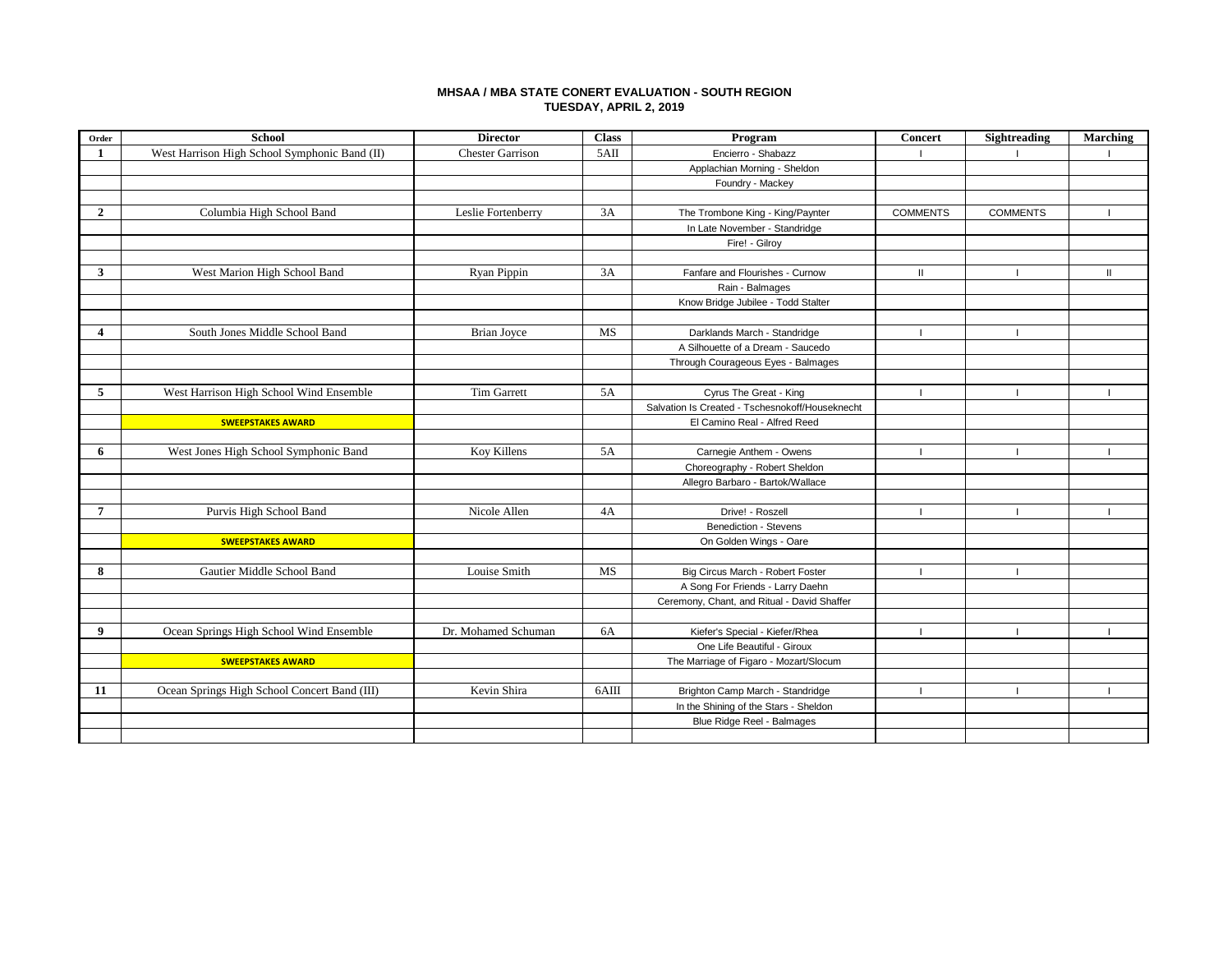## **MHSAA / MBA STATE CONERT EVALUATION - SOUTH REGION TUESDAY, APRIL 2, 2019**

| Order                   | <b>School</b>                                 | <b>Director</b>         | <b>Class</b> | Program                                         | <b>Concert</b>  | Sightreading    | Marching     |
|-------------------------|-----------------------------------------------|-------------------------|--------------|-------------------------------------------------|-----------------|-----------------|--------------|
| 1                       | West Harrison High School Symphonic Band (II) | <b>Chester Garrison</b> | 5AII         | Encierro - Shabazz                              |                 |                 |              |
|                         |                                               |                         |              | Applachian Morning - Sheldon                    |                 |                 |              |
|                         |                                               |                         |              | Foundry - Mackey                                |                 |                 |              |
|                         |                                               |                         |              |                                                 |                 |                 |              |
| $\overline{2}$          | Columbia High School Band                     | Leslie Fortenberry      | 3A           | The Trombone King - King/Paynter                | <b>COMMENTS</b> | <b>COMMENTS</b> |              |
|                         |                                               |                         |              | In Late November - Standridge                   |                 |                 |              |
|                         |                                               |                         |              | Fire! - Gilroy                                  |                 |                 |              |
|                         |                                               |                         |              |                                                 |                 |                 |              |
| 3                       | West Marion High School Band                  | Ryan Pippin             | 3A           | Fanfare and Flourishes - Curnow                 | $\mathbf{I}$    |                 | $\mathbf{H}$ |
|                         |                                               |                         |              | Rain - Balmages                                 |                 |                 |              |
|                         |                                               |                         |              | Know Bridge Jubilee - Todd Stalter              |                 |                 |              |
|                         |                                               |                         |              |                                                 |                 |                 |              |
| $\overline{\mathbf{4}}$ | South Jones Middle School Band                | <b>Brian Joyce</b>      | MS           | Darklands March - Standridge                    |                 |                 |              |
|                         |                                               |                         |              | A Silhouette of a Dream - Saucedo               |                 |                 |              |
|                         |                                               |                         |              | Through Courageous Eyes - Balmages              |                 |                 |              |
|                         |                                               |                         |              |                                                 |                 |                 |              |
| 5                       | West Harrison High School Wind Ensemble       | <b>Tim Garrett</b>      | 5A           | Cyrus The Great - King                          |                 |                 |              |
|                         |                                               |                         |              | Salvation Is Created - Tschesnokoff/Houseknecht |                 |                 |              |
|                         | <b>SWEEPSTAKES AWARD</b>                      |                         |              | El Camino Real - Alfred Reed                    |                 |                 |              |
|                         |                                               |                         |              |                                                 |                 |                 |              |
| 6                       | West Jones High School Symphonic Band         | Koy Killens             | 5A           | Carnegie Anthem - Owens                         |                 | -1              |              |
|                         |                                               |                         |              | Choreography - Robert Sheldon                   |                 |                 |              |
|                         |                                               |                         |              | Allegro Barbaro - Bartok/Wallace                |                 |                 |              |
|                         |                                               |                         |              |                                                 |                 |                 |              |
| $\overline{7}$          | Purvis High School Band                       | Nicole Allen            | 4A           | Drive! - Roszell                                |                 | -1              |              |
|                         |                                               |                         |              | Benediction - Stevens                           |                 |                 |              |
|                         | <b>SWEEPSTAKES AWARD</b>                      |                         |              | On Golden Wings - Oare                          |                 |                 |              |
|                         |                                               |                         |              |                                                 |                 |                 |              |
| 8                       | Gautier Middle School Band                    | Louise Smith            | MS           | Big Circus March - Robert Foster                |                 |                 |              |
|                         |                                               |                         |              | A Song For Friends - Larry Daehn                |                 |                 |              |
|                         |                                               |                         |              | Ceremony, Chant, and Ritual - David Shaffer     |                 |                 |              |
|                         |                                               |                         |              |                                                 |                 |                 |              |
| 9                       | Ocean Springs High School Wind Ensemble       | Dr. Mohamed Schuman     | 6A           | Kiefer's Special - Kiefer/Rhea                  |                 |                 |              |
|                         |                                               |                         |              | One Life Beautiful - Giroux                     |                 |                 |              |
|                         | <b>SWEEPSTAKES AWARD</b>                      |                         |              | The Marriage of Figaro - Mozart/Slocum          |                 |                 |              |
|                         |                                               |                         |              |                                                 |                 |                 |              |
| 11                      | Ocean Springs High School Concert Band (III)  | Kevin Shira             | 6AIII        | Brighton Camp March - Standridge                |                 | п               |              |
|                         |                                               |                         |              | In the Shining of the Stars - Sheldon           |                 |                 |              |
|                         |                                               |                         |              | Blue Ridge Reel - Balmages                      |                 |                 |              |
|                         |                                               |                         |              |                                                 |                 |                 |              |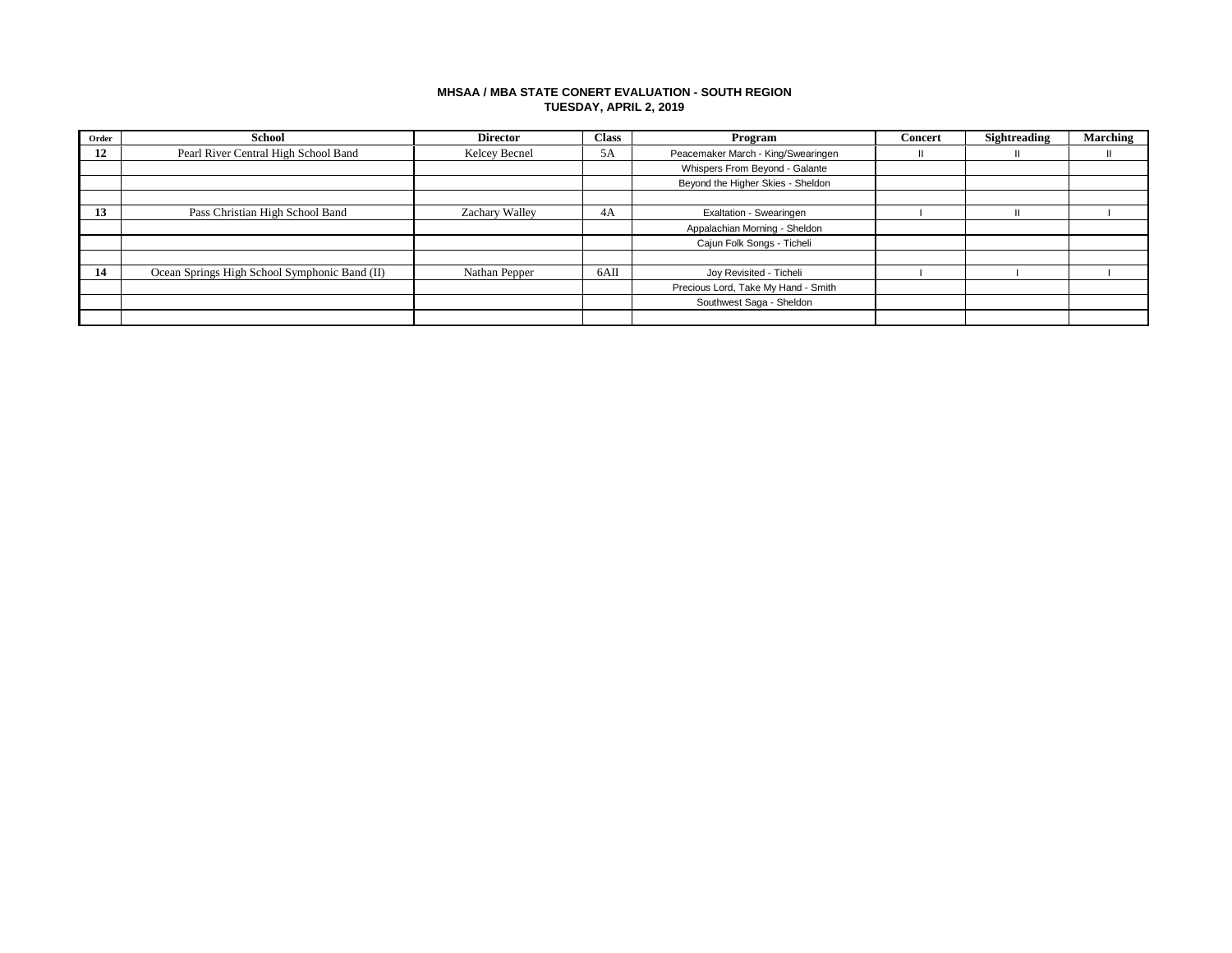## **MHSAA / MBA STATE CONERT EVALUATION - SOUTH REGION TUESDAY, APRIL 2, 2019**

| Order | School                                        | <b>Director</b> | <b>Class</b> | Program                             | <b>Concert</b> | Sightreading | <b>Marching</b> |
|-------|-----------------------------------------------|-----------------|--------------|-------------------------------------|----------------|--------------|-----------------|
| 12    | Pearl River Central High School Band          | Kelcey Becnel   | 5A           | Peacemaker March - King/Swearingen  |                |              |                 |
|       |                                               |                 |              | Whispers From Beyond - Galante      |                |              |                 |
|       |                                               |                 |              | Beyond the Higher Skies - Sheldon   |                |              |                 |
|       |                                               |                 |              |                                     |                |              |                 |
| -13   | Pass Christian High School Band               | Zachary Walley  | 4A           | Exaltation - Swearingen             |                |              |                 |
|       |                                               |                 |              | Appalachian Morning - Sheldon       |                |              |                 |
|       |                                               |                 |              | Cajun Folk Songs - Ticheli          |                |              |                 |
|       |                                               |                 |              |                                     |                |              |                 |
| -14   | Ocean Springs High School Symphonic Band (II) | Nathan Pepper   | 6AII         | Joy Revisited - Ticheli             |                |              |                 |
|       |                                               |                 |              | Precious Lord, Take My Hand - Smith |                |              |                 |
|       |                                               |                 |              | Southwest Saga - Sheldon            |                |              |                 |
|       |                                               |                 |              |                                     |                |              |                 |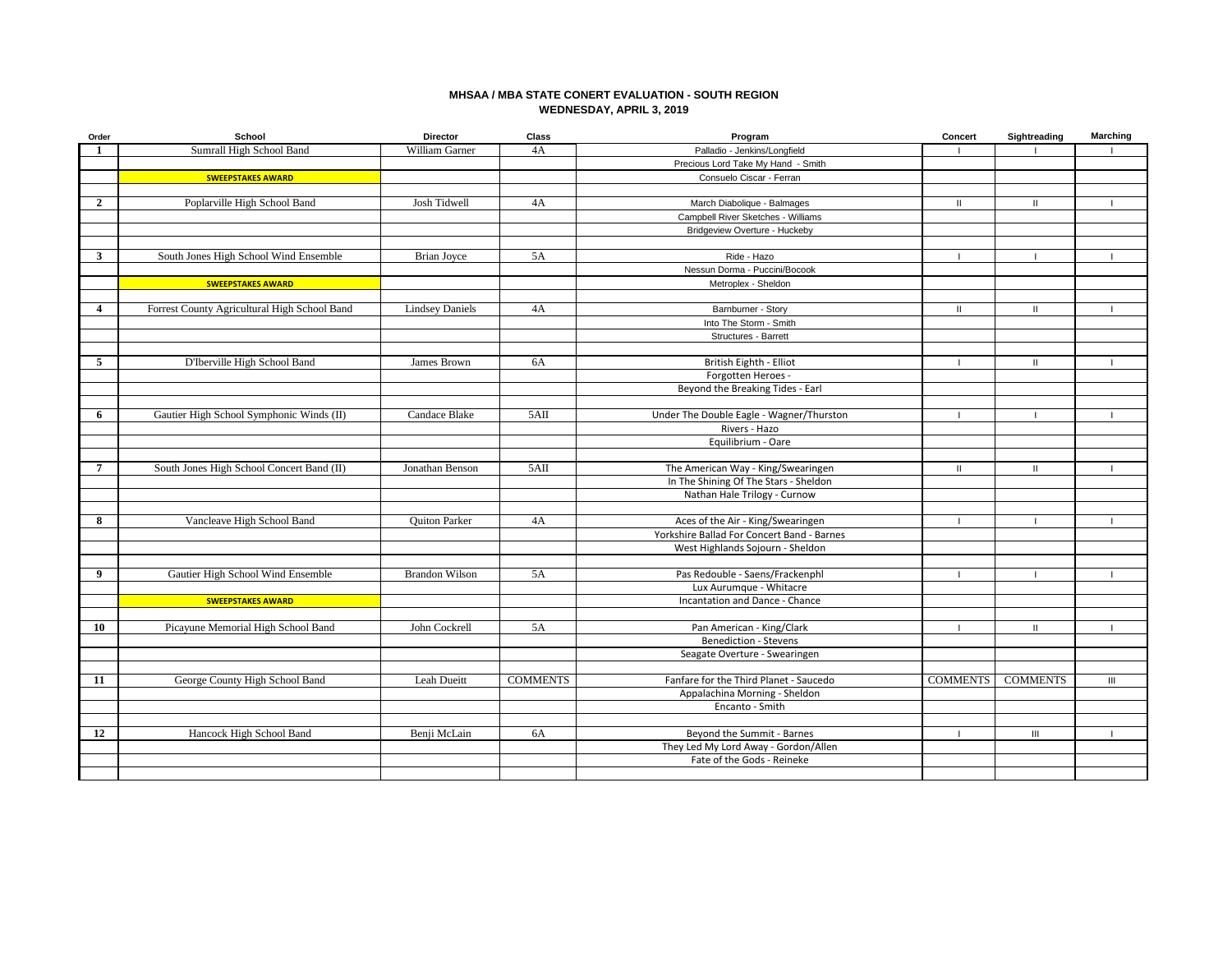## **MHSAA / MBA STATE CONERT EVALUATION - SOUTH REGION WEDNESDAY, APRIL 3, 2019**

| Order            | School                                       | <b>Director</b>        | Class           | Program                                                | Concert         | Sightreading    | <b>Marching</b>                    |
|------------------|----------------------------------------------|------------------------|-----------------|--------------------------------------------------------|-----------------|-----------------|------------------------------------|
| $\mathbf{1}$     | Sumrall High School Band                     | William Garner         | 4A              | Palladio - Jenkins/Longfield                           |                 |                 |                                    |
|                  |                                              |                        |                 | Precious Lord Take My Hand - Smith                     |                 |                 |                                    |
|                  | <b>SWEEPSTAKES AWARD</b>                     |                        |                 | Consuelo Ciscar - Ferran                               |                 |                 |                                    |
|                  |                                              |                        |                 |                                                        |                 |                 |                                    |
| $\boldsymbol{2}$ | Poplarville High School Band                 | Josh Tidwell           | 4A              | March Diabolique - Balmages                            | Ш               |                 |                                    |
|                  |                                              |                        |                 | Campbell River Sketches - Williams                     |                 |                 |                                    |
|                  |                                              |                        |                 | Bridgeview Overture - Huckeby                          |                 |                 |                                    |
|                  |                                              |                        |                 |                                                        |                 |                 |                                    |
| $\mathbf{3}$     | South Jones High School Wind Ensemble        | Brian Joyce            | 5A              | Ride - Hazo                                            |                 |                 |                                    |
|                  |                                              |                        |                 | Nessun Dorma - Puccini/Bocook                          |                 |                 |                                    |
|                  | <b>SWEEPSTAKES AWARD</b>                     |                        |                 | Metroplex - Sheldon                                    |                 |                 |                                    |
|                  |                                              |                        |                 |                                                        |                 |                 |                                    |
| 4                | Forrest County Agricultural High School Band | <b>Lindsey Daniels</b> | 4A              | Barnburner - Story                                     | $\mathbf{II}$   | $\mathbf{H}$    | т.                                 |
|                  |                                              |                        |                 | Into The Storm - Smith                                 |                 |                 |                                    |
|                  |                                              |                        |                 | Structures - Barrett                                   |                 |                 |                                    |
| 5                | D'Iberville High School Band                 |                        | 6A              |                                                        | $\overline{1}$  | $\mathbf{H}$    | $\mathbf{I}$                       |
|                  |                                              | James Brown            |                 | British Eighth - Elliot                                |                 |                 |                                    |
|                  |                                              |                        |                 | Forgotten Heroes -<br>Beyond the Breaking Tides - Earl |                 |                 |                                    |
|                  |                                              |                        |                 |                                                        |                 |                 |                                    |
| 6                | Gautier High School Symphonic Winds (II)     | Candace Blake          | 5AII            | Under The Double Eagle - Wagner/Thurston               | $\overline{1}$  |                 | $\mathbf{I}$                       |
|                  |                                              |                        |                 | Rivers - Hazo                                          |                 |                 |                                    |
|                  |                                              |                        |                 | Equilibrium - Oare                                     |                 |                 |                                    |
|                  |                                              |                        |                 |                                                        |                 |                 |                                    |
| $\overline{7}$   | South Jones High School Concert Band (II)    | Jonathan Benson        | 5AII            | The American Way - King/Swearingen                     | $\mathbf{H}$    |                 |                                    |
|                  |                                              |                        |                 | In The Shining Of The Stars - Sheldon                  |                 |                 |                                    |
|                  |                                              |                        |                 | Nathan Hale Trilogy - Curnow                           |                 |                 |                                    |
|                  |                                              |                        |                 |                                                        |                 |                 |                                    |
| 8                | Vancleave High School Band                   | <b>Ouiton Parker</b>   | 4A              | Aces of the Air - King/Swearingen                      |                 |                 |                                    |
|                  |                                              |                        |                 | Yorkshire Ballad For Concert Band - Barnes             |                 |                 |                                    |
|                  |                                              |                        |                 | West Highlands Sojourn - Sheldon                       |                 |                 |                                    |
|                  |                                              |                        |                 |                                                        |                 |                 |                                    |
| 9                | Gautier High School Wind Ensemble            | <b>Brandon Wilson</b>  | 5A              | Pas Redouble - Saens/Frackenphl                        |                 |                 |                                    |
|                  |                                              |                        |                 | Lux Aurumque - Whitacre                                |                 |                 |                                    |
|                  | <b>SWEEPSTAKES AWARD</b>                     |                        |                 | Incantation and Dance - Chance                         |                 |                 |                                    |
|                  |                                              |                        |                 |                                                        |                 |                 |                                    |
| 10               | Picayune Memorial High School Band           | John Cockrell          | 5A              | Pan American - King/Clark                              |                 | Ш               |                                    |
|                  |                                              |                        |                 | <b>Benediction - Stevens</b>                           |                 |                 |                                    |
|                  |                                              |                        |                 | Seagate Overture - Swearingen                          |                 |                 |                                    |
| 11               | George County High School Band               | Leah Dueitt            | <b>COMMENTS</b> | Fanfare for the Third Planet - Saucedo                 | <b>COMMENTS</b> | <b>COMMENTS</b> | $\ensuremath{\mathsf{III}}\xspace$ |
|                  |                                              |                        |                 | Appalachina Morning - Sheldon                          |                 |                 |                                    |
|                  |                                              |                        |                 | Encanto - Smith                                        |                 |                 |                                    |
|                  |                                              |                        |                 |                                                        |                 |                 |                                    |
| 12               | Hancock High School Band                     | Benji McLain           | 6A              | Beyond the Summit - Barnes                             |                 | $\mathbf{III}$  |                                    |
|                  |                                              |                        |                 | They Led My Lord Away - Gordon/Allen                   |                 |                 |                                    |
|                  |                                              |                        |                 | Fate of the Gods - Reineke                             |                 |                 |                                    |
|                  |                                              |                        |                 |                                                        |                 |                 |                                    |
|                  |                                              |                        |                 |                                                        |                 |                 |                                    |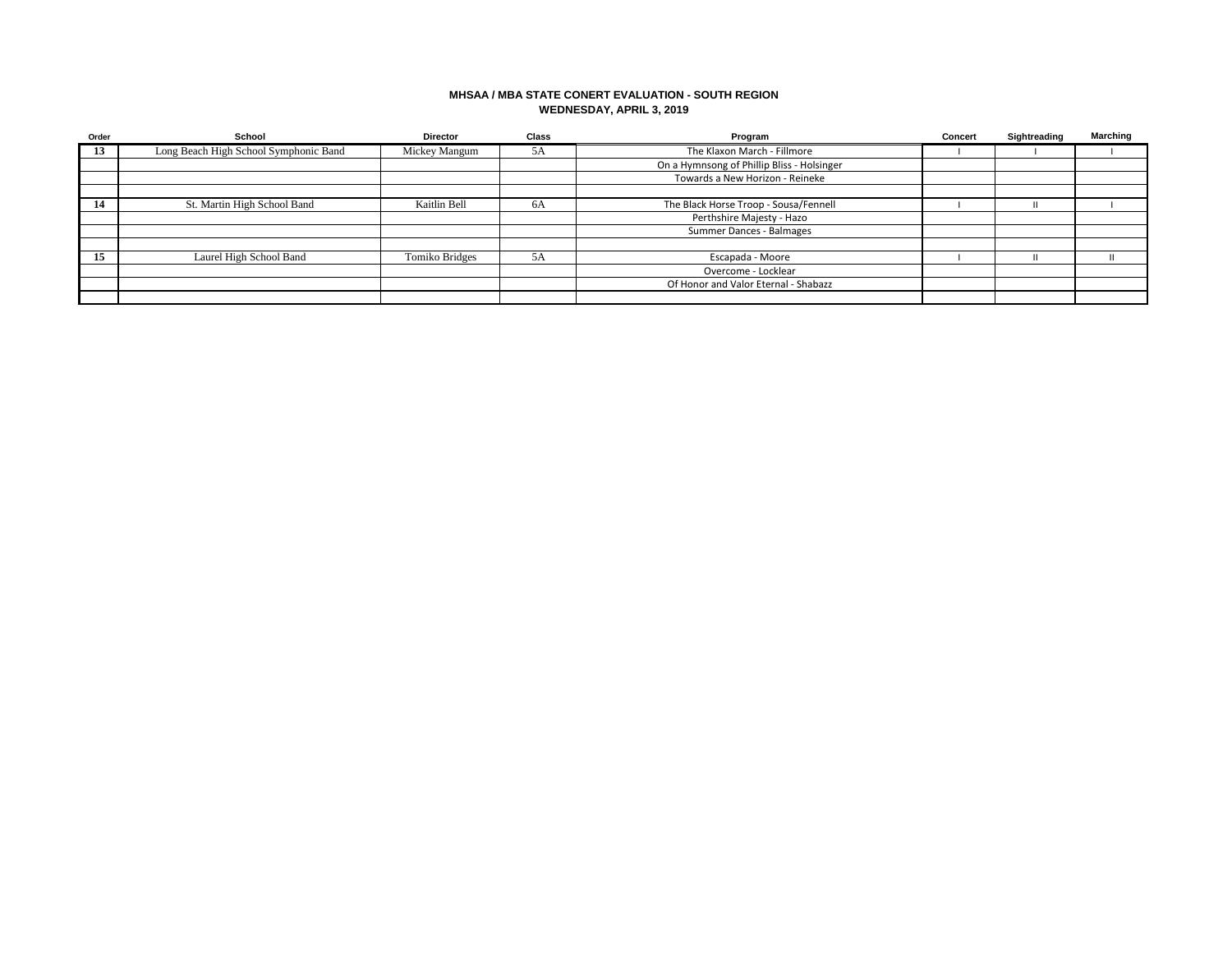## **MHSAA / MBA STATE CONERT EVALUATION - SOUTH REGION WEDNESDAY, APRIL 3, 2019**

| Order | School                                | <b>Director</b> | <b>Class</b> | Program                                    | Concert | Sightreading | <b>Marching</b> |
|-------|---------------------------------------|-----------------|--------------|--------------------------------------------|---------|--------------|-----------------|
| 13    | Long Beach High School Symphonic Band | Mickey Mangum   | 5A           | The Klaxon March - Fillmore                |         |              |                 |
|       |                                       |                 |              | On a Hymnsong of Phillip Bliss - Holsinger |         |              |                 |
|       |                                       |                 |              | Towards a New Horizon - Reineke            |         |              |                 |
|       |                                       |                 |              |                                            |         |              |                 |
|       | St. Martin High School Band           | Kaitlin Bell    | 6A           | The Black Horse Troop - Sousa/Fennell      |         |              |                 |
|       |                                       |                 |              | Perthshire Majesty - Hazo                  |         |              |                 |
|       |                                       |                 |              | Summer Dances - Balmages                   |         |              |                 |
|       |                                       |                 |              |                                            |         |              |                 |
| 15    | Laurel High School Band               | Tomiko Bridges  | 5A           | Escapada - Moore                           |         |              |                 |
|       |                                       |                 |              | Overcome - Locklear                        |         |              |                 |
|       |                                       |                 |              | Of Honor and Valor Eternal - Shabazz       |         |              |                 |
|       |                                       |                 |              |                                            |         |              |                 |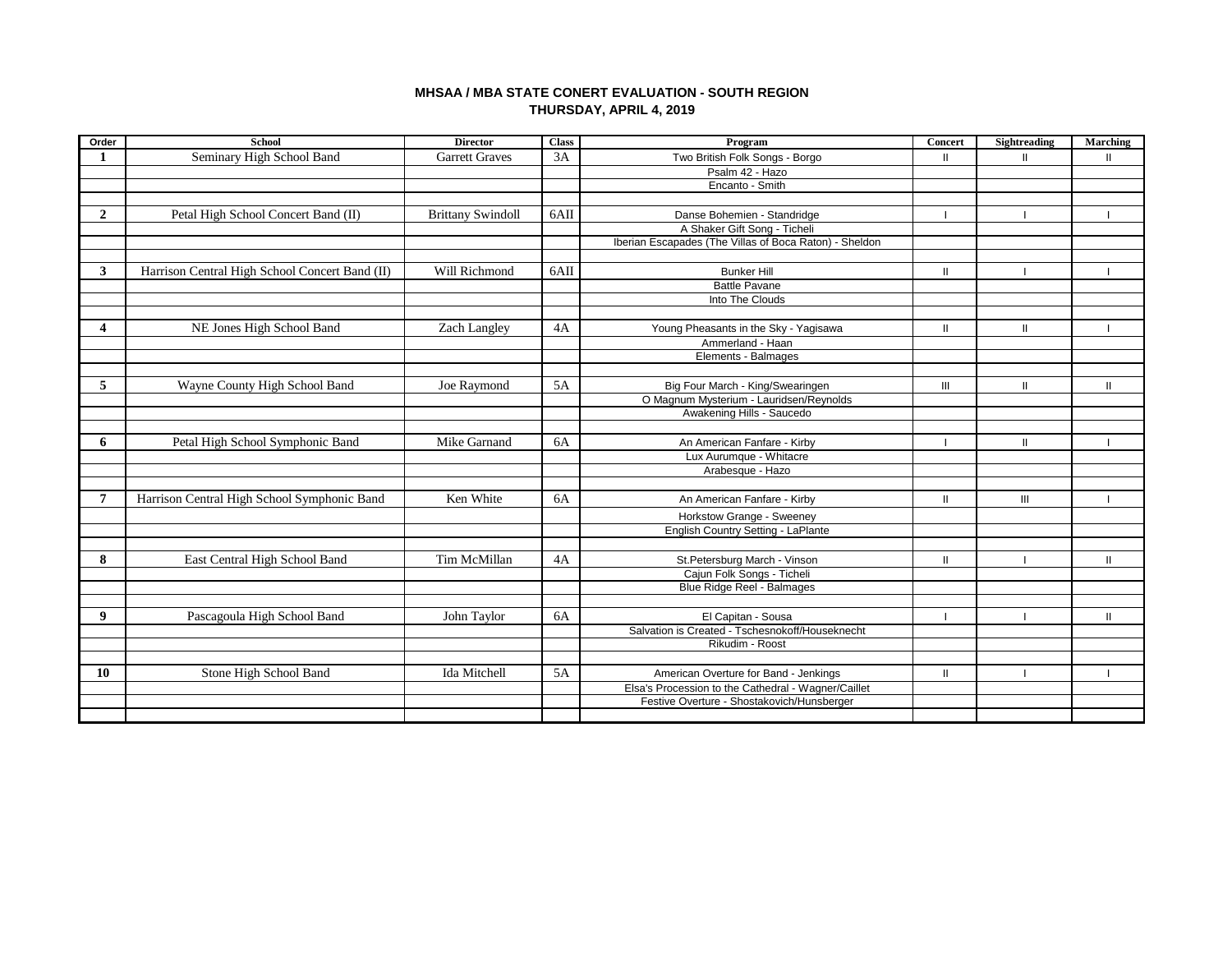# **MHSAA / MBA STATE CONERT EVALUATION - SOUTH REGION THURSDAY, APRIL 4, 2019**

| Order          | <b>School</b>                                  | <b>Director</b>          | <b>Class</b> | Program                                                | <b>Concert</b> | Sightreading  | Marching     |
|----------------|------------------------------------------------|--------------------------|--------------|--------------------------------------------------------|----------------|---------------|--------------|
| 1              | Seminary High School Band                      | <b>Garrett Graves</b>    | 3A           | Two British Folk Songs - Borgo                         | $\mathbf{I}$   | $\mathbf{II}$ | $\mathbf{I}$ |
|                |                                                |                          |              | Psalm 42 - Hazo                                        |                |               |              |
|                |                                                |                          |              | Encanto - Smith                                        |                |               |              |
|                |                                                |                          |              |                                                        |                |               |              |
| $\overline{2}$ | Petal High School Concert Band (II)            | <b>Brittany Swindoll</b> | 6AII         | Danse Bohemien - Standridge                            |                |               |              |
|                |                                                |                          |              | A Shaker Gift Song - Ticheli                           |                |               |              |
|                |                                                |                          |              | Iberian Escapades (The Villas of Boca Raton) - Sheldon |                |               |              |
|                |                                                |                          |              |                                                        |                |               |              |
| 3              | Harrison Central High School Concert Band (II) | Will Richmond            | 6AII         | <b>Bunker Hill</b>                                     | $\mathbf{H}$   |               |              |
|                |                                                |                          |              | <b>Battle Pavane</b>                                   |                |               |              |
|                |                                                |                          |              | Into The Clouds                                        |                |               |              |
|                |                                                |                          |              |                                                        |                |               |              |
|                | NE Jones High School Band                      | Zach Langley             | 4A           | Young Pheasants in the Sky - Yagisawa                  | $\mathbf{I}$   | $\mathbf{II}$ |              |
|                |                                                |                          |              | Ammerland - Haan                                       |                |               |              |
|                |                                                |                          |              | Elements - Balmages                                    |                |               |              |
|                |                                                |                          |              |                                                        |                |               |              |
| 5              | Wayne County High School Band                  | Joe Raymond              | 5A           | Big Four March - King/Swearingen                       | $\mathbf{III}$ | Ш             | $\mathbf{I}$ |
|                |                                                |                          |              | O Magnum Mysterium - Lauridsen/Reynolds                |                |               |              |
|                |                                                |                          |              | Awakening Hills - Saucedo                              |                |               |              |
|                |                                                |                          |              |                                                        |                |               |              |
| 6              | Petal High School Symphonic Band               | Mike Garnand             | 6A           | An American Fanfare - Kirby                            |                | Ш             |              |
|                |                                                |                          |              | Lux Aurumque - Whitacre                                |                |               |              |
|                |                                                |                          |              | Arabesque - Hazo                                       |                |               |              |
|                |                                                |                          |              |                                                        |                |               |              |
| 7              | Harrison Central High School Symphonic Band    | Ken White                | 6A           | An American Fanfare - Kirby                            | $\mathbf{H}$   | III           |              |
|                |                                                |                          |              | Horkstow Grange - Sweeney                              |                |               |              |
|                |                                                |                          |              | English Country Setting - LaPlante                     |                |               |              |
|                |                                                |                          |              |                                                        |                |               |              |
| 8              | East Central High School Band                  | Tim McMillan             | 4A           | St.Petersburg March - Vinson                           | $\mathbf{H}$   |               | $\mathbf{H}$ |
|                |                                                |                          |              | Cajun Folk Songs - Ticheli                             |                |               |              |
|                |                                                |                          |              | Blue Ridge Reel - Balmages                             |                |               |              |
|                |                                                |                          |              |                                                        |                |               |              |
| 9              | Pascagoula High School Band                    | John Taylor              | 6A           | El Capitan - Sousa                                     |                |               | $\mathbf{I}$ |
|                |                                                |                          |              | Salvation is Created - Tschesnokoff/Houseknecht        |                |               |              |
|                |                                                |                          |              | Rikudim - Roost                                        |                |               |              |
|                |                                                |                          |              |                                                        |                |               |              |
| 10             | Stone High School Band                         | Ida Mitchell             | 5A           | American Overture for Band - Jenkings                  | $\mathbf{I}$   |               |              |
|                |                                                |                          |              | Elsa's Procession to the Cathedral - Wagner/Caillet    |                |               |              |
|                |                                                |                          |              | Festive Overture - Shostakovich/Hunsberger             |                |               |              |
|                |                                                |                          |              |                                                        |                |               |              |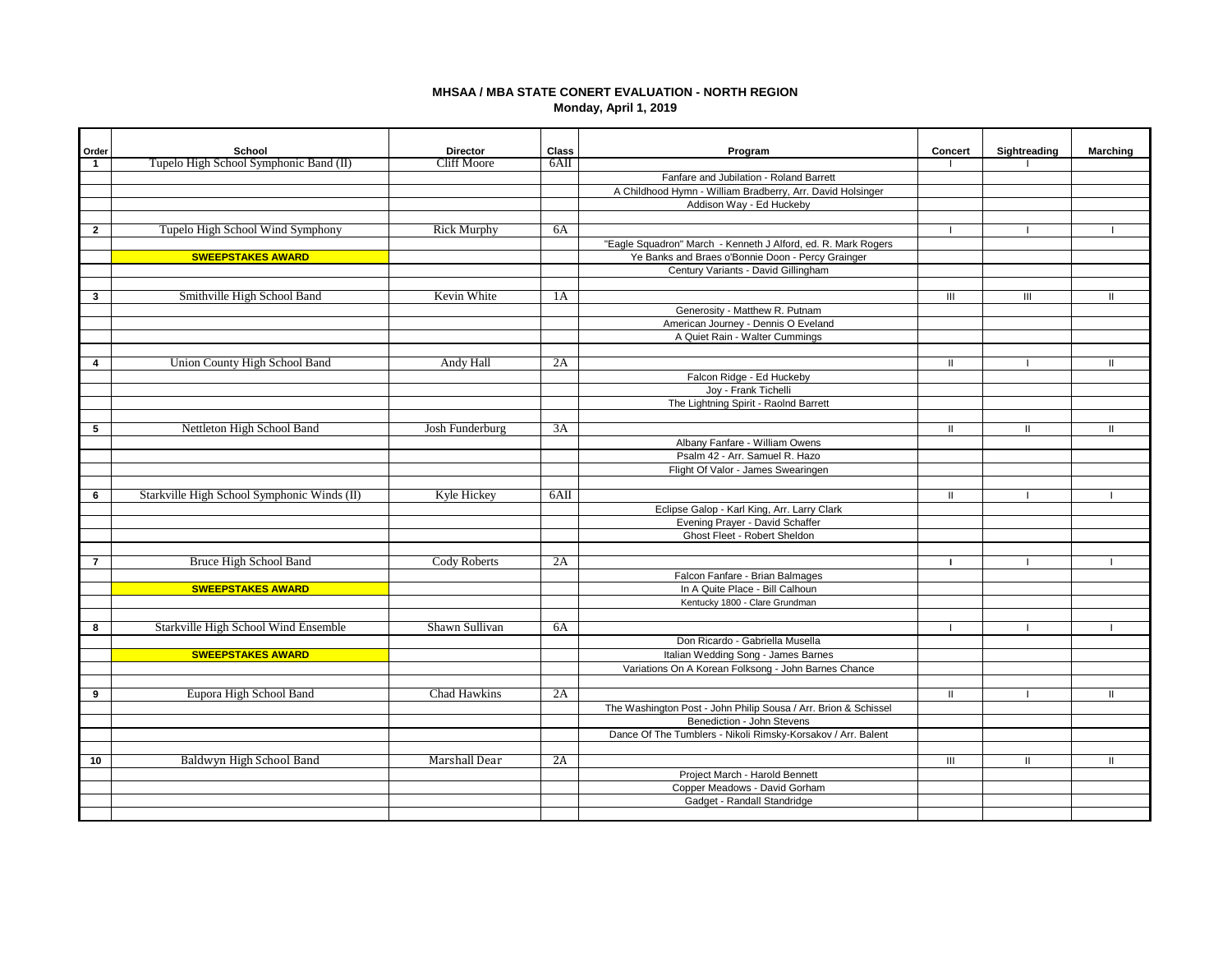## **MHSAA / MBA STATE CONERT EVALUATION - NORTH REGION Monday, April 1, 2019**

| Order<br>$\mathbf{1}$ | School<br>Tupelo High School Symphonic Band (II) | <b>Director</b><br><b>Cliff Moore</b> | Class<br>$6\text{Al}$ | Program                                                         | Concert      | Sightreading   | <b>Marching</b> |
|-----------------------|--------------------------------------------------|---------------------------------------|-----------------------|-----------------------------------------------------------------|--------------|----------------|-----------------|
|                       |                                                  |                                       |                       | Fanfare and Jubilation - Roland Barrett                         |              |                |                 |
|                       |                                                  |                                       |                       | A Childhood Hymn - William Bradberry, Arr. David Holsinger      |              |                |                 |
|                       |                                                  |                                       |                       | Addison Way - Ed Huckeby                                        |              |                |                 |
|                       |                                                  |                                       |                       |                                                                 |              |                |                 |
| $\mathbf{2}$          | Tupelo High School Wind Symphony                 | <b>Rick Murphy</b>                    | 6A                    |                                                                 |              |                |                 |
|                       |                                                  |                                       |                       | "Eagle Squadron" March - Kenneth J Alford, ed. R. Mark Rogers   |              |                |                 |
|                       | <b>SWEEPSTAKES AWARD</b>                         |                                       |                       | Ye Banks and Braes o'Bonnie Doon - Percy Grainger               |              |                |                 |
|                       |                                                  |                                       |                       | Century Variants - David Gillingham                             |              |                |                 |
|                       |                                                  |                                       |                       |                                                                 |              |                |                 |
| 3                     | Smithville High School Band                      | Kevin White                           | 1A                    |                                                                 | Ш            | $\mathbf{III}$ | $\mathbf{H}$    |
|                       |                                                  |                                       |                       | Generosity - Matthew R. Putnam                                  |              |                |                 |
|                       |                                                  |                                       |                       | American Journey - Dennis O Eveland                             |              |                |                 |
|                       |                                                  |                                       |                       | A Quiet Rain - Walter Cummings                                  |              |                |                 |
|                       |                                                  |                                       |                       |                                                                 |              |                |                 |
| 4                     | Union County High School Band                    | Andy Hall                             | 2A                    |                                                                 | Ш            |                |                 |
|                       |                                                  |                                       |                       | Falcon Ridge - Ed Huckeby                                       |              |                |                 |
|                       |                                                  |                                       |                       | Joy - Frank Tichelli                                            |              |                |                 |
|                       |                                                  |                                       |                       | The Lightning Spirit - Raolnd Barrett                           |              |                |                 |
| 5                     | Nettleton High School Band                       | Josh Funderburg                       | 3A                    |                                                                 | $\mathbf{H}$ | $\mathbf{H}$   |                 |
|                       |                                                  |                                       |                       | Albany Fanfare - William Owens                                  |              |                | Ш               |
|                       |                                                  |                                       |                       | Psalm 42 - Arr. Samuel R. Hazo                                  |              |                |                 |
|                       |                                                  |                                       |                       | Flight Of Valor - James Swearingen                              |              |                |                 |
|                       |                                                  |                                       |                       |                                                                 |              |                |                 |
| 6                     | Starkville High School Symphonic Winds (II)      | Kyle Hickey                           | 6AII                  |                                                                 | Ш            |                |                 |
|                       |                                                  |                                       |                       | Eclipse Galop - Karl King, Arr. Larry Clark                     |              |                |                 |
|                       |                                                  |                                       |                       | Evening Prayer - David Schaffer                                 |              |                |                 |
|                       |                                                  |                                       |                       | Ghost Fleet - Robert Sheldon                                    |              |                |                 |
|                       |                                                  |                                       |                       |                                                                 |              |                |                 |
| $\overline{7}$        | Bruce High School Band                           | <b>Cody Roberts</b>                   | 2A                    |                                                                 |              |                |                 |
|                       |                                                  |                                       |                       | Falcon Fanfare - Brian Balmages                                 |              |                |                 |
|                       | <b>SWEEPSTAKES AWARD</b>                         |                                       |                       | In A Quite Place - Bill Calhoun                                 |              |                |                 |
|                       |                                                  |                                       |                       | Kentucky 1800 - Clare Grundman                                  |              |                |                 |
|                       |                                                  |                                       |                       |                                                                 |              |                |                 |
| 8                     | Starkville High School Wind Ensemble             | Shawn Sullivan                        | 6A                    |                                                                 |              |                |                 |
|                       |                                                  |                                       |                       | Don Ricardo - Gabriella Musella                                 |              |                |                 |
|                       | <b>SWEEPSTAKES AWARD</b>                         |                                       |                       | Italian Wedding Song - James Barnes                             |              |                |                 |
|                       |                                                  |                                       |                       | Variations On A Korean Folksong - John Barnes Chance            |              |                |                 |
|                       |                                                  |                                       |                       |                                                                 |              |                |                 |
| 9                     | Eupora High School Band                          | Chad Hawkins                          | 2A                    |                                                                 | $\mathbf{H}$ |                | Ш               |
|                       |                                                  |                                       |                       | The Washington Post - John Philip Sousa / Arr. Brion & Schissel |              |                |                 |
|                       |                                                  |                                       |                       | Benediction - John Stevens                                      |              |                |                 |
|                       |                                                  |                                       |                       | Dance Of The Tumblers - Nikoli Rimsky-Korsakov / Arr. Balent    |              |                |                 |
| 10                    | Baldwyn High School Band                         | Marshall Dear                         | 2A                    |                                                                 | III          | $\mathbf{H}$   | $\mathbf{H}$    |
|                       |                                                  |                                       |                       | Project March - Harold Bennett                                  |              |                |                 |
|                       |                                                  |                                       |                       | Copper Meadows - David Gorham                                   |              |                |                 |
|                       |                                                  |                                       |                       | Gadget - Randall Standridge                                     |              |                |                 |
|                       |                                                  |                                       |                       |                                                                 |              |                |                 |
|                       |                                                  |                                       |                       |                                                                 |              |                |                 |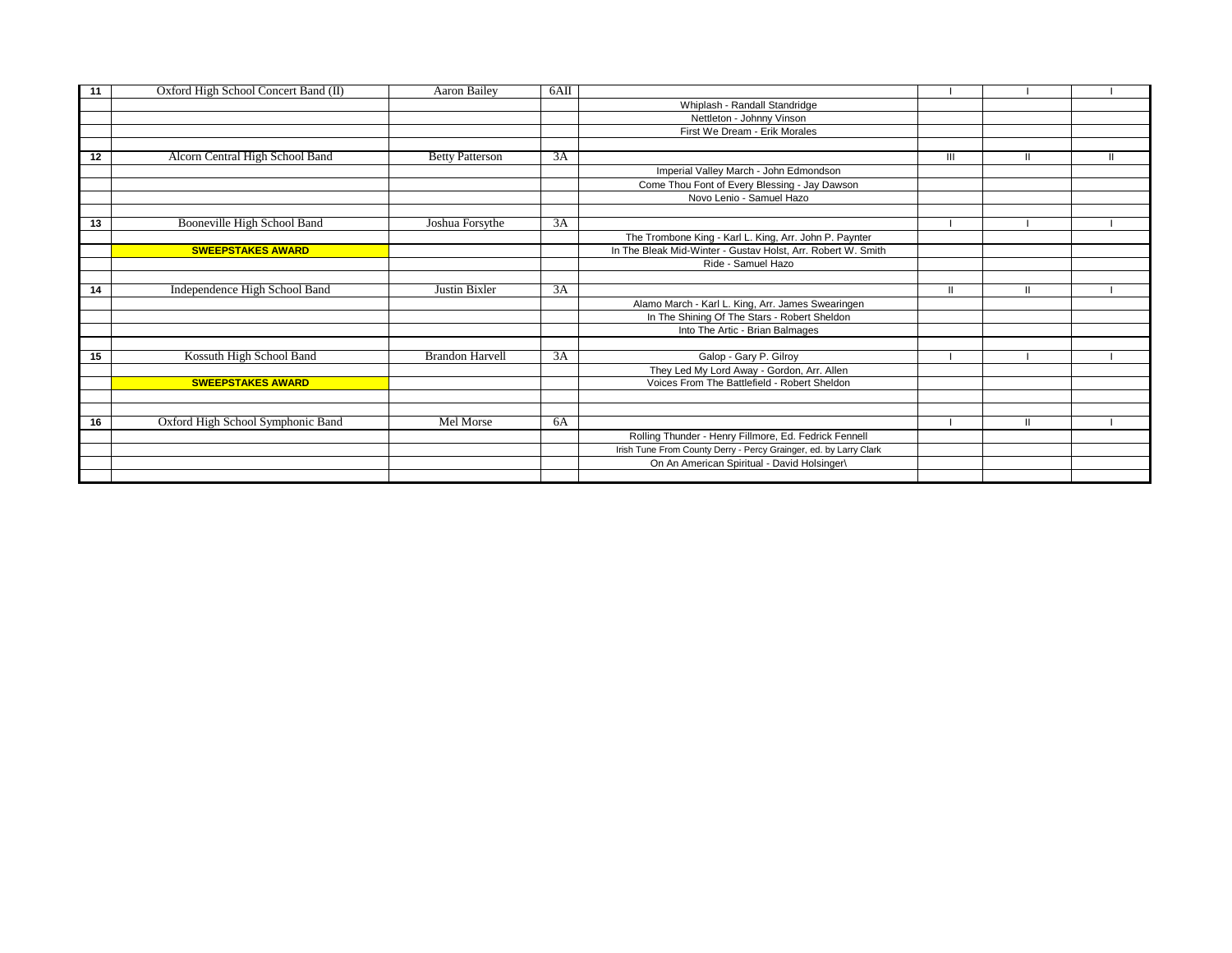| 11 | Oxford High School Concert Band (II) | Aaron Bailey           | $6\text{Al}$ |                                                                   |   |              |  |
|----|--------------------------------------|------------------------|--------------|-------------------------------------------------------------------|---|--------------|--|
|    |                                      |                        |              | Whiplash - Randall Standridge                                     |   |              |  |
|    |                                      |                        |              | Nettleton - Johnny Vinson                                         |   |              |  |
|    |                                      |                        |              | First We Dream - Erik Morales                                     |   |              |  |
|    |                                      |                        |              |                                                                   |   |              |  |
| 12 | Alcorn Central High School Band      | <b>Betty Patterson</b> | 3A           |                                                                   | Ш | $\mathbf{I}$ |  |
|    |                                      |                        |              | Imperial Valley March - John Edmondson                            |   |              |  |
|    |                                      |                        |              | Come Thou Font of Every Blessing - Jay Dawson                     |   |              |  |
|    |                                      |                        |              | Novo Lenio - Samuel Hazo                                          |   |              |  |
|    |                                      |                        |              |                                                                   |   |              |  |
| 13 | Booneville High School Band          | Joshua Forsythe        | 3A           |                                                                   |   |              |  |
|    |                                      |                        |              | The Trombone King - Karl L. King, Arr. John P. Paynter            |   |              |  |
|    | <b>SWEEPSTAKES AWARD</b>             |                        |              | In The Bleak Mid-Winter - Gustav Holst, Arr. Robert W. Smith      |   |              |  |
|    |                                      |                        |              | Ride - Samuel Hazo                                                |   |              |  |
|    |                                      |                        |              |                                                                   |   |              |  |
| 14 | Independence High School Band        | Justin Bixler          | 3A           |                                                                   |   | Ш            |  |
|    |                                      |                        |              | Alamo March - Karl L. King, Arr. James Swearingen                 |   |              |  |
|    |                                      |                        |              | In The Shining Of The Stars - Robert Sheldon                      |   |              |  |
|    |                                      |                        |              | Into The Artic - Brian Balmages                                   |   |              |  |
|    |                                      |                        |              |                                                                   |   |              |  |
| 15 | Kossuth High School Band             | <b>Brandon Harvell</b> | 3A           | Galop - Gary P. Gilroy                                            |   |              |  |
|    |                                      |                        |              | They Led My Lord Away - Gordon, Arr. Allen                        |   |              |  |
|    | <b>SWEEPSTAKES AWARD</b>             |                        |              | Voices From The Battlefield - Robert Sheldon                      |   |              |  |
|    |                                      |                        |              |                                                                   |   |              |  |
|    |                                      |                        |              |                                                                   |   |              |  |
| 16 | Oxford High School Symphonic Band    | Mel Morse              | 6A           |                                                                   |   | $\mathbf{I}$ |  |
|    |                                      |                        |              | Rolling Thunder - Henry Fillmore, Ed. Fedrick Fennell             |   |              |  |
|    |                                      |                        |              | Irish Tune From County Derry - Percy Grainger, ed. by Larry Clark |   |              |  |
|    |                                      |                        |              | On An American Spiritual - David Holsinger\                       |   |              |  |
|    |                                      |                        |              |                                                                   |   |              |  |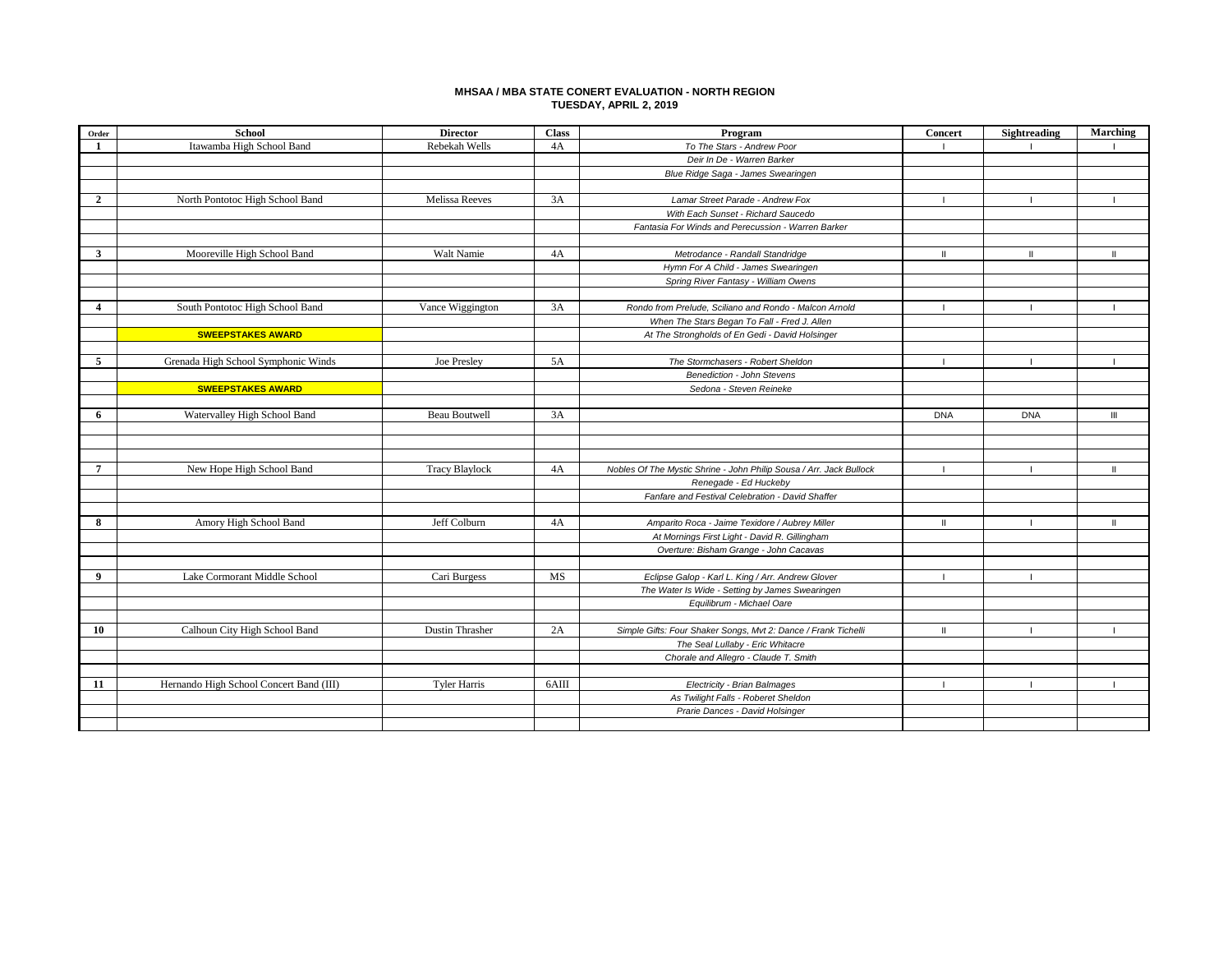### **MHSAA / MBA STATE CONERT EVALUATION - NORTH REGION TUESDAY, APRIL 2, 2019**

| Order                   | <b>School</b>                           | <b>Director</b>       | <b>Class</b> | Program                                                                                            | <b>Concert</b> | Sightreading | Marching       |
|-------------------------|-----------------------------------------|-----------------------|--------------|----------------------------------------------------------------------------------------------------|----------------|--------------|----------------|
| 1                       | Itawamba High School Band               | Rebekah Wells         | 4A           | To The Stars - Andrew Poor                                                                         |                |              |                |
|                         |                                         |                       |              | Deir In De - Warren Barker                                                                         |                |              |                |
|                         |                                         |                       |              | Blue Ridge Saga - James Swearingen                                                                 |                |              |                |
|                         |                                         |                       |              |                                                                                                    |                |              |                |
| $\mathbf{2}$            | North Pontotoc High School Band         | Melissa Reeves        | 3A           | Lamar Street Parade - Andrew Fox                                                                   | $\blacksquare$ |              |                |
|                         |                                         |                       |              | With Each Sunset - Richard Saucedo                                                                 |                |              |                |
|                         |                                         |                       |              | Fantasia For Winds and Perecussion - Warren Barker                                                 |                |              |                |
|                         |                                         |                       |              |                                                                                                    |                |              |                |
| $\overline{\mathbf{3}}$ | Mooreville High School Band             | Walt Namie            | 4A           | Metrodance - Randall Standridge                                                                    | ш              | Ш            |                |
|                         |                                         |                       |              | Hymn For A Child - James Swearingen                                                                |                |              |                |
|                         |                                         |                       |              | Spring River Fantasy - William Owens                                                               |                |              |                |
|                         |                                         |                       |              |                                                                                                    |                |              |                |
| $\overline{\mathbf{4}}$ | South Pontotoc High School Band         | Vance Wiggington      | 3A           | Rondo from Prelude, Sciliano and Rondo - Malcon Arnold                                             | $\mathbf{I}$   |              |                |
|                         |                                         |                       |              | When The Stars Began To Fall - Fred J. Allen                                                       |                |              |                |
|                         | <b>SWEEPSTAKES AWARD</b>                |                       |              | At The Strongholds of En Gedi - David Holsinger                                                    |                |              |                |
|                         |                                         |                       |              |                                                                                                    |                |              |                |
| 5                       | Grenada High School Symphonic Winds     | Joe Presley           | 5A           | The Stormchasers - Robert Sheldon                                                                  | $\blacksquare$ |              |                |
|                         |                                         |                       |              | <b>Benediction - John Stevens</b>                                                                  |                |              |                |
|                         | <b>SWEEPSTAKES AWARD</b>                |                       |              | Sedona - Steven Reineke                                                                            |                |              |                |
|                         |                                         |                       |              |                                                                                                    |                |              |                |
| 6                       | Watervalley High School Band            | <b>Beau Boutwell</b>  | 3A           |                                                                                                    | <b>DNA</b>     | <b>DNA</b>   | $\mathbf{III}$ |
|                         |                                         |                       |              |                                                                                                    |                |              |                |
|                         |                                         |                       |              |                                                                                                    |                |              |                |
|                         |                                         |                       |              |                                                                                                    |                |              |                |
| $\overline{7}$          | New Hope High School Band               | <b>Tracy Blaylock</b> | 4A           | Nobles Of The Mystic Shrine - John Philip Sousa / Arr. Jack Bullock                                | $\blacksquare$ |              | $\mathbf{H}$   |
|                         |                                         |                       |              | Renegade - Ed Huckeby                                                                              |                |              |                |
|                         |                                         |                       |              | Fanfare and Festival Celebration - David Shaffer                                                   |                |              |                |
|                         |                                         |                       |              |                                                                                                    |                |              |                |
| 8                       | Amory High School Band                  | Jeff Colburn          | 4A           | Amparito Roca - Jaime Texidore / Aubrey Miller                                                     |                |              |                |
|                         |                                         |                       |              | At Mornings First Light - David R. Gillingham                                                      |                |              |                |
|                         |                                         |                       |              | Overture: Bisham Grange - John Cacavas                                                             |                |              |                |
| 9                       |                                         |                       |              |                                                                                                    |                |              |                |
|                         | Lake Cormorant Middle School            | Cari Burgess          | MS           | Eclipse Galop - Karl L. King / Arr. Andrew Glover                                                  |                |              |                |
|                         |                                         |                       |              | The Water Is Wide - Setting by James Swearingen                                                    |                |              |                |
|                         |                                         |                       |              | Equilibrum - Michael Oare                                                                          |                |              |                |
| 10                      | Calhoun City High School Band           | Dustin Thrasher       | 2A           |                                                                                                    |                |              |                |
|                         |                                         |                       |              | Simple Gifts: Four Shaker Songs, Mvt 2: Dance / Frank Tichelli<br>The Seal Lullaby - Eric Whitacre | $\mathbf{I}$   |              |                |
|                         |                                         |                       |              |                                                                                                    |                |              |                |
|                         |                                         |                       |              | Chorale and Allegro - Claude T. Smith                                                              |                |              |                |
| 11                      | Hernando High School Concert Band (III) | <b>Tyler Harris</b>   | 6AIII        | Electricity - Brian Balmages                                                                       | $\mathbf{I}$   |              | - 11           |
|                         |                                         |                       |              | As Twilight Falls - Roberet Sheldon                                                                |                |              |                |
|                         |                                         |                       |              | Prarie Dances - David Holsinger                                                                    |                |              |                |
|                         |                                         |                       |              |                                                                                                    |                |              |                |
|                         |                                         |                       |              |                                                                                                    |                |              |                |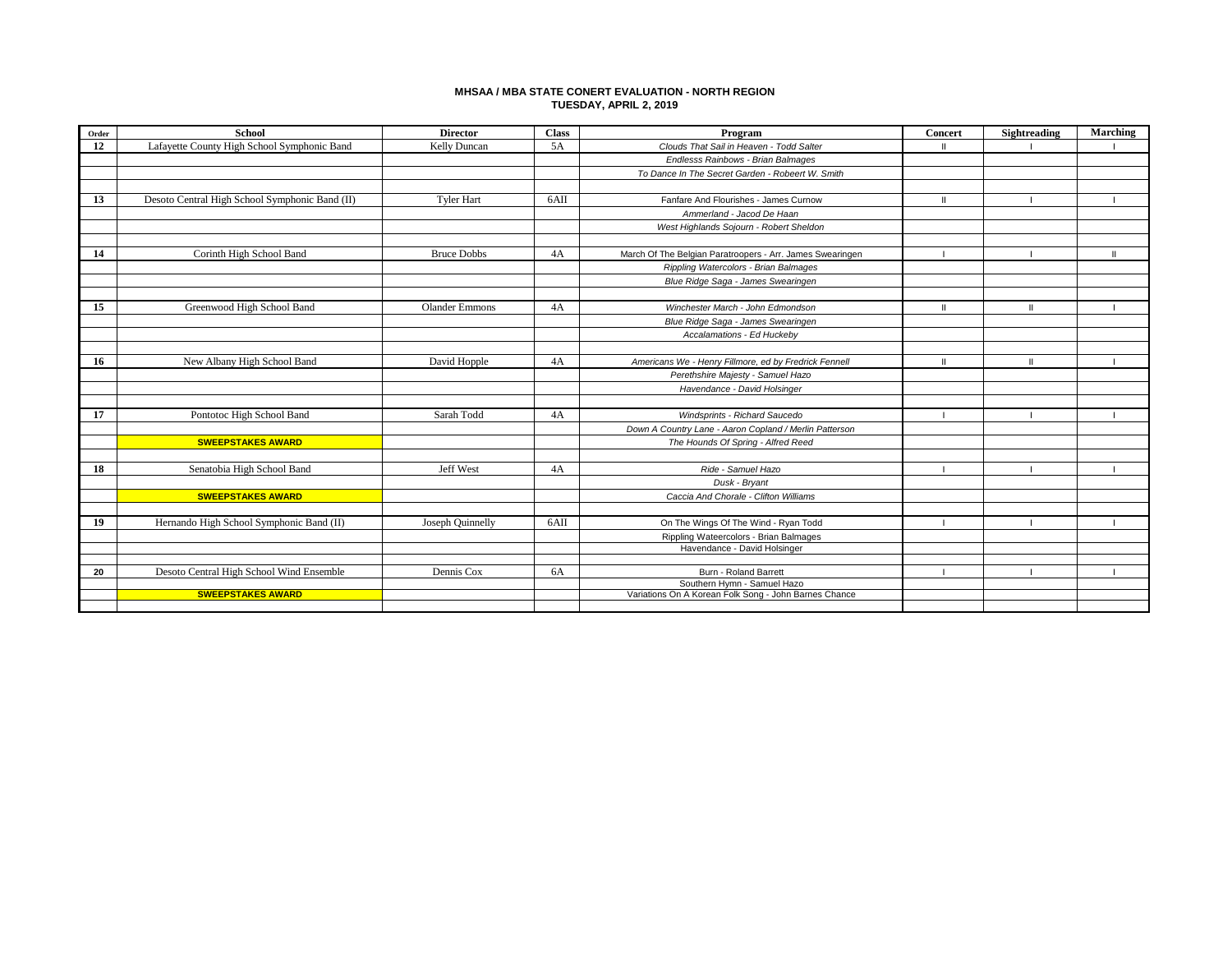### **MHSAA / MBA STATE CONERT EVALUATION - NORTH REGION TUESDAY, APRIL 2, 2019**

| Order | <b>School</b>                                  | <b>Director</b>       | <b>Class</b> | Program                                                                              | Concert      | Sightreading  | Marching |
|-------|------------------------------------------------|-----------------------|--------------|--------------------------------------------------------------------------------------|--------------|---------------|----------|
| 12    | Lafayette County High School Symphonic Band    | Kelly Duncan          | 5A           | Clouds That Sail in Heaven - Todd Salter                                             | ш            |               |          |
|       |                                                |                       |              | Endlesss Rainbows - Brian Balmages                                                   |              |               |          |
|       |                                                |                       |              | To Dance In The Secret Garden - Robeert W. Smith                                     |              |               |          |
|       |                                                |                       |              |                                                                                      |              |               |          |
| 13    | Desoto Central High School Symphonic Band (II) | <b>Tyler Hart</b>     | 6AII         | Fanfare And Flourishes - James Curnow                                                | ш            |               |          |
|       |                                                |                       |              | Ammerland - Jacod De Haan                                                            |              |               |          |
|       |                                                |                       |              | West Highlands Sojourn - Robert Sheldon                                              |              |               |          |
|       |                                                |                       |              |                                                                                      |              |               |          |
| 14    | Corinth High School Band                       | <b>Bruce Dobbs</b>    | 4A           | March Of The Belgian Paratroopers - Arr. James Swearingen                            |              |               |          |
|       |                                                |                       |              | Rippling Watercolors - Brian Balmages                                                |              |               |          |
|       |                                                |                       |              | Blue Ridge Saga - James Swearingen                                                   |              |               |          |
|       |                                                |                       |              |                                                                                      |              |               |          |
| 15    | Greenwood High School Band                     | <b>Olander Emmons</b> | 4A           | Winchester March - John Edmondson                                                    | Ш            |               |          |
|       |                                                |                       |              | Blue Ridge Saga - James Swearingen                                                   |              |               |          |
|       |                                                |                       |              | Accalamations - Ed Huckeby                                                           |              |               |          |
|       |                                                |                       |              |                                                                                      |              |               |          |
| 16    | New Albany High School Band                    | David Hopple          | 4A           | Americans We - Henry Fillmore, ed by Fredrick Fennell                                | $\mathbf{H}$ | $\mathbf{II}$ |          |
|       |                                                |                       |              | Perethshire Majesty - Samuel Hazo                                                    |              |               |          |
|       |                                                |                       |              | Havendance - David Holsinger                                                         |              |               |          |
|       |                                                |                       |              |                                                                                      |              |               |          |
| 17    | Pontotoc High School Band                      | Sarah Todd            | 4A           | Windsprints - Richard Saucedo                                                        | -1           |               |          |
|       |                                                |                       |              | Down A Country Lane - Aaron Copland / Merlin Patterson                               |              |               |          |
|       | <b>SWEEPSTAKES AWARD</b>                       |                       |              | The Hounds Of Spring - Alfred Reed                                                   |              |               |          |
|       |                                                |                       |              |                                                                                      |              |               |          |
| 18    | Senatobia High School Band                     | <b>Jeff West</b>      | 4A           | Ride - Samuel Hazo                                                                   | $\mathbf{L}$ |               |          |
|       |                                                |                       |              | Dusk - Bryant                                                                        |              |               |          |
|       | <b>SWEEPSTAKES AWARD</b>                       |                       |              | Caccia And Chorale - Clifton Williams                                                |              |               |          |
|       |                                                |                       |              |                                                                                      |              |               |          |
| 19    | Hernando High School Symphonic Band (II)       | Joseph Quinnelly      | 6AII         | On The Wings Of The Wind - Ryan Todd                                                 |              |               |          |
|       |                                                |                       |              | Rippling Wateercolors - Brian Balmages                                               |              |               |          |
|       |                                                |                       |              | Havendance - David Holsinger                                                         |              |               |          |
|       |                                                |                       |              |                                                                                      |              |               |          |
| 20    | Desoto Central High School Wind Ensemble       | Dennis Cox            | 6A           | Burn - Roland Barrett                                                                |              |               |          |
|       | <b>SWEEPSTAKES AWARD</b>                       |                       |              | Southern Hymn - Samuel Hazo<br>Variations On A Korean Folk Song - John Barnes Chance |              |               |          |
|       |                                                |                       |              |                                                                                      |              |               |          |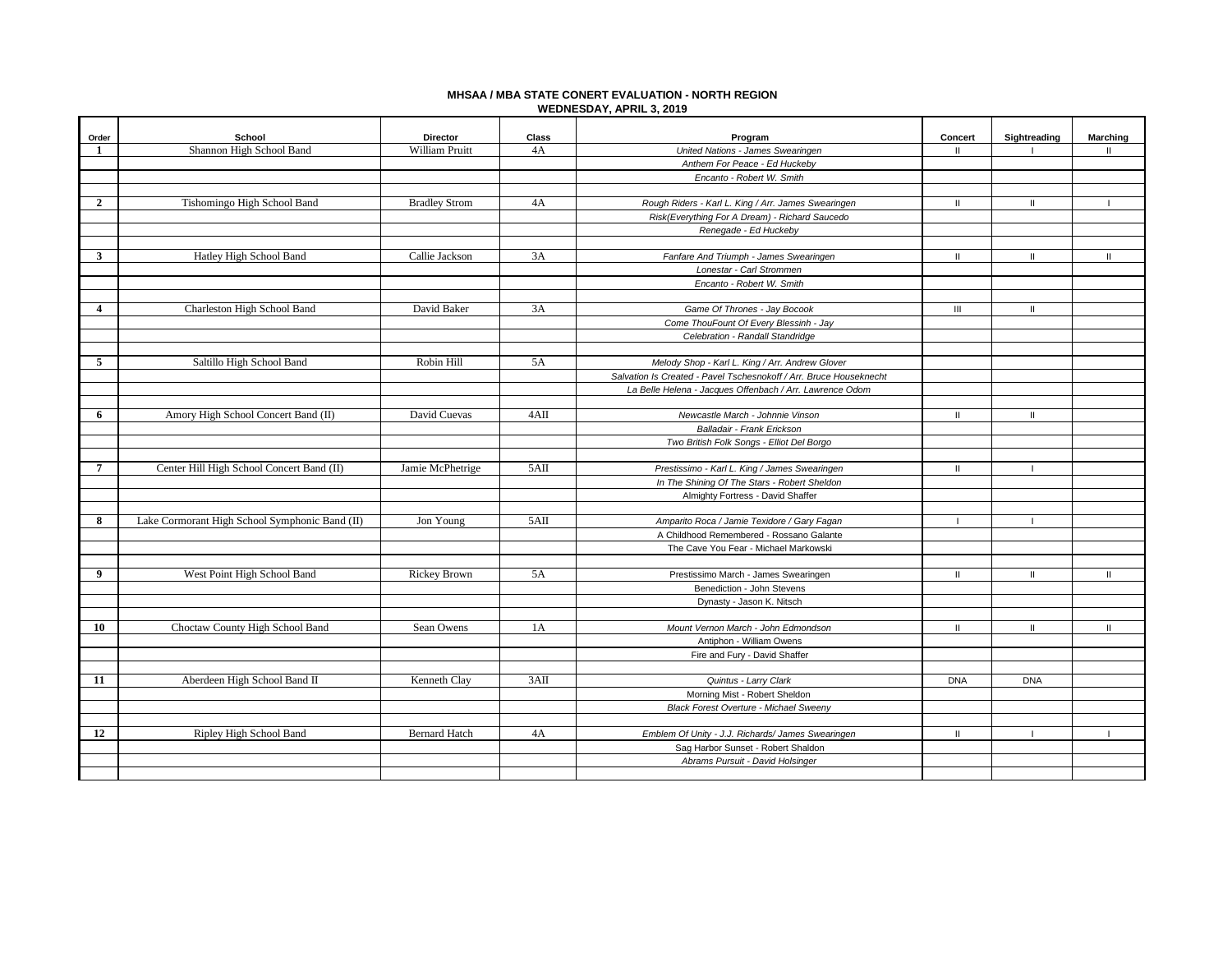## **MHSAA / MBA STATE CONERT EVALUATION - NORTH REGION WEDNESDAY, APRIL 3, 2019**

| Order          | School                                         | <b>Director</b>       | Class | Program                                                            | Concert        | Sightreading   | <b>Marching</b> |
|----------------|------------------------------------------------|-----------------------|-------|--------------------------------------------------------------------|----------------|----------------|-----------------|
| 1              | Shannon High School Band                       | <b>William Pruitt</b> | 4A    | United Nations - James Swearingen                                  | $\mathbf{I}$   |                | н               |
|                |                                                |                       |       | Anthem For Peace - Ed Huckeby                                      |                |                |                 |
|                |                                                |                       |       | Encanto - Robert W. Smith                                          |                |                |                 |
|                |                                                |                       |       |                                                                    |                |                |                 |
| $\overline{2}$ | Tishomingo High School Band                    | <b>Bradley Strom</b>  | 4A    | Rough Riders - Karl L. King / Arr. James Swearingen                | $\mathbf{H}$   | $\mathbf{H}$   |                 |
|                |                                                |                       |       | Risk(Everything For A Dream) - Richard Saucedo                     |                |                |                 |
|                |                                                |                       |       | Renegade - Ed Huckeby                                              |                |                |                 |
|                |                                                |                       |       |                                                                    |                |                |                 |
| 3              | Hatley High School Band                        | Callie Jackson        | 3A    | Fanfare And Triumph - James Swearingen                             | $\mathbf{II}$  | $\mathbf{I}$   | $\mathbf{II}$   |
|                |                                                |                       |       | Lonestar - Carl Strommen                                           |                |                |                 |
|                |                                                |                       |       | Encanto - Robert W. Smith                                          |                |                |                 |
|                |                                                |                       |       |                                                                    |                |                |                 |
| 4              | Charleston High School Band                    | David Baker           | 3A    | Game Of Thrones - Jay Bocook                                       | $\mathbf{III}$ | $\mathbf{H}$   |                 |
|                |                                                |                       |       | Come ThouFount Of Every Blessinh - Jay                             |                |                |                 |
|                |                                                |                       |       | Celebration - Randall Standridge                                   |                |                |                 |
|                |                                                |                       |       |                                                                    |                |                |                 |
| 5              | Saltillo High School Band                      | Robin Hill            | 5A    | Melody Shop - Karl L. King / Arr. Andrew Glover                    |                |                |                 |
|                |                                                |                       |       | Salvation Is Created - Pavel Tschesnokoff / Arr. Bruce Houseknecht |                |                |                 |
|                |                                                |                       |       | La Belle Helena - Jacques Offenbach / Arr. Lawrence Odom           |                |                |                 |
|                |                                                |                       |       |                                                                    |                |                |                 |
| 6              | Amory High School Concert Band (II)            | David Cuevas          | 4AII  | Newcastle March - Johnnie Vinson                                   | $\mathbf{II}$  | $\mathbf{II}$  |                 |
|                |                                                |                       |       | Balladair - Frank Erickson                                         |                |                |                 |
|                |                                                |                       |       | Two British Folk Songs - Elliot Del Borgo                          |                |                |                 |
|                |                                                |                       |       |                                                                    |                |                |                 |
| $\overline{7}$ | Center Hill High School Concert Band (II)      | Jamie McPhetrige      | 5AII  | Prestissimo - Karl L. King / James Swearingen                      | $\mathbf{II}$  | -1             |                 |
|                |                                                |                       |       | In The Shining Of The Stars - Robert Sheldon                       |                |                |                 |
|                |                                                |                       |       | Almighty Fortress - David Shaffer                                  |                |                |                 |
|                |                                                |                       |       |                                                                    |                |                |                 |
| 8              | Lake Cormorant High School Symphonic Band (II) | Jon Young             | 5AII  | Amparito Roca / Jamie Texidore / Gary Fagan                        | $\mathbf{I}$   | $\blacksquare$ |                 |
|                |                                                |                       |       | A Childhood Remembered - Rossano Galante                           |                |                |                 |
|                |                                                |                       |       | The Cave You Fear - Michael Markowski                              |                |                |                 |
|                |                                                |                       |       |                                                                    |                |                |                 |
| 9              | West Point High School Band                    | Rickey Brown          | 5A    | Prestissimo March - James Swearingen                               | $\mathbf{II}$  | $\mathbf{II}$  | Ш               |
|                |                                                |                       |       | Benediction - John Stevens                                         |                |                |                 |
|                |                                                |                       |       | Dynasty - Jason K. Nitsch                                          |                |                |                 |
|                |                                                |                       |       |                                                                    |                |                |                 |
| 10             | Choctaw County High School Band                | Sean Owens            | 1A    | Mount Vernon March - John Edmondson                                | $\mathbf{H}$   | $\mathbf{II}$  | $\mathbf{II}$   |
|                |                                                |                       |       | Antiphon - William Owens                                           |                |                |                 |
|                |                                                |                       |       | Fire and Fury - David Shaffer                                      |                |                |                 |
|                |                                                |                       |       |                                                                    |                |                |                 |
| 11             | Aberdeen High School Band II                   | Kenneth Clay          | 3AII  | Quintus - Larry Clark                                              | <b>DNA</b>     | <b>DNA</b>     |                 |
|                |                                                |                       |       | Morning Mist - Robert Sheldon                                      |                |                |                 |
|                |                                                |                       |       | <b>Black Forest Overture - Michael Sweeny</b>                      |                |                |                 |
|                |                                                |                       |       |                                                                    |                |                |                 |
| 12             | Ripley High School Band                        | <b>Bernard Hatch</b>  | 4A    | Emblem Of Unity - J.J. Richards/ James Swearingen                  | $\mathbf{II}$  |                |                 |
|                |                                                |                       |       | Sag Harbor Sunset - Robert Shaldon                                 |                |                |                 |
|                |                                                |                       |       | Abrams Pursuit - David Holsinger                                   |                |                |                 |
|                |                                                |                       |       |                                                                    |                |                |                 |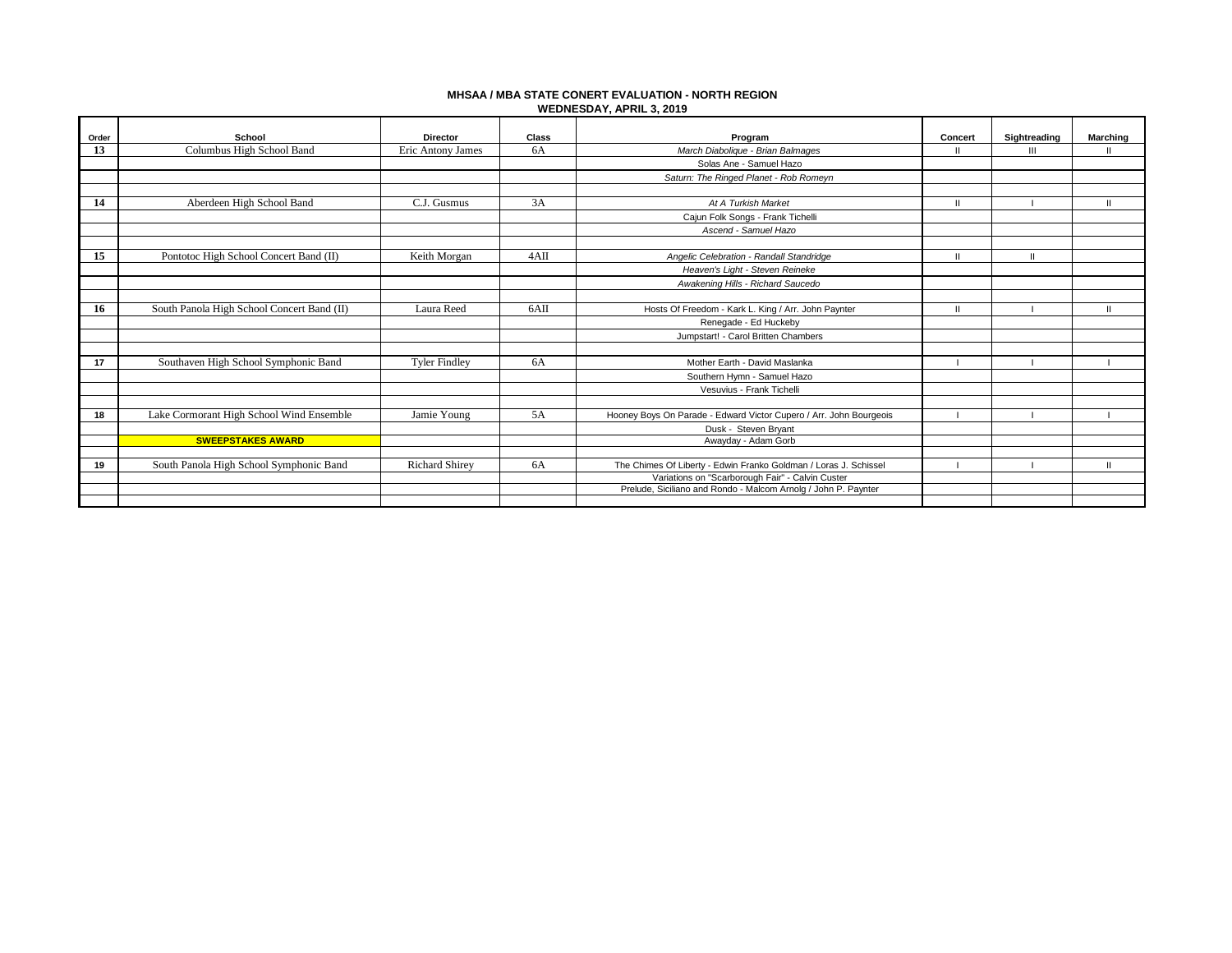## **MHSAA / MBA STATE CONERT EVALUATION - NORTH REGION WEDNESDAY, APRIL 3, 2019**

| Order | School                                     | <b>Director</b>       | <b>Class</b> | Program                                                                                                            | Concert       | Sightreading   | Marching     |
|-------|--------------------------------------------|-----------------------|--------------|--------------------------------------------------------------------------------------------------------------------|---------------|----------------|--------------|
| 13    | Columbus High School Band                  | Eric Antony James     | 6A           | March Diabolique - Brian Balmages                                                                                  | $\mathbf{H}$  | $\mathbf{III}$ | $\mathbf{H}$ |
|       |                                            |                       |              | Solas Ane - Samuel Hazo                                                                                            |               |                |              |
|       |                                            |                       |              | Saturn: The Ringed Planet - Rob Romeyn                                                                             |               |                |              |
|       |                                            |                       |              |                                                                                                                    |               |                |              |
| 14    | Aberdeen High School Band                  | C.J. Gusmus           | 3A           | At A Turkish Market                                                                                                | $\mathbf{II}$ |                | Ш            |
|       |                                            |                       |              | Cajun Folk Songs - Frank Tichelli                                                                                  |               |                |              |
|       |                                            |                       |              | Ascend - Samuel Hazo                                                                                               |               |                |              |
|       |                                            |                       |              |                                                                                                                    |               |                |              |
| 15    | Pontotoc High School Concert Band (II)     | Keith Morgan          | 4AII         | Angelic Celebration - Randall Standridge                                                                           | $\mathbf{II}$ | $\mathbf{H}$   |              |
|       |                                            |                       |              | Heaven's Light - Steven Reineke                                                                                    |               |                |              |
|       |                                            |                       |              | Awakening Hills - Richard Saucedo                                                                                  |               |                |              |
|       |                                            |                       |              |                                                                                                                    |               |                |              |
| 16    | South Panola High School Concert Band (II) | Laura Reed            | 6AII         | Hosts Of Freedom - Kark L. King / Arr. John Paynter                                                                | $\mathbf{H}$  |                | $\mathbf{H}$ |
|       |                                            |                       |              | Renegade - Ed Huckeby                                                                                              |               |                |              |
|       |                                            |                       |              | Jumpstart! - Carol Britten Chambers                                                                                |               |                |              |
|       |                                            |                       |              |                                                                                                                    |               |                |              |
| 17    | Southaven High School Symphonic Band       | <b>Tyler Findley</b>  | 6A           | Mother Earth - David Maslanka                                                                                      |               |                |              |
|       |                                            |                       |              | Southern Hymn - Samuel Hazo                                                                                        |               |                |              |
|       |                                            |                       |              | Vesuvius - Frank Tichelli                                                                                          |               |                |              |
|       |                                            |                       |              |                                                                                                                    |               |                |              |
| 18    | Lake Cormorant High School Wind Ensemble   | Jamie Young           | 5A           | Hooney Boys On Parade - Edward Victor Cupero / Arr. John Bourgeois                                                 |               |                |              |
|       |                                            |                       |              | Dusk - Steven Bryant                                                                                               |               |                |              |
|       | <b>SWEEPSTAKES AWARD</b>                   |                       |              | Awayday - Adam Gorb                                                                                                |               |                |              |
|       |                                            |                       |              |                                                                                                                    |               |                |              |
| 19    | South Panola High School Symphonic Band    | <b>Richard Shirey</b> | 6A           | The Chimes Of Liberty - Edwin Franko Goldman / Loras J. Schissel                                                   |               |                | $\mathbf{I}$ |
|       |                                            |                       |              | Variations on "Scarborough Fair" - Calvin Custer<br>Prelude, Siciliano and Rondo - Malcom Arnolg / John P. Paynter |               |                |              |
|       |                                            |                       |              |                                                                                                                    |               |                |              |